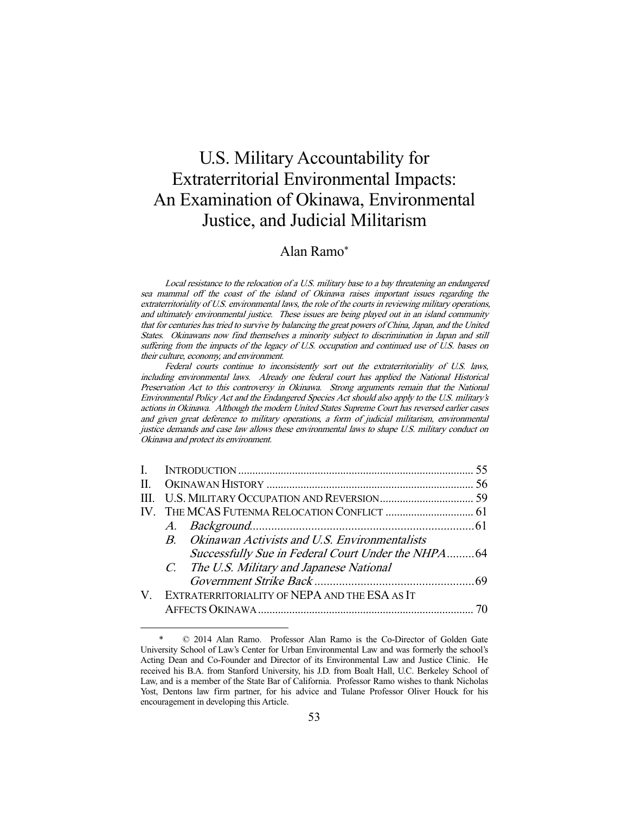# U.S. Military Accountability for Extraterritorial Environmental Impacts: An Examination of Okinawa, Environmental Justice, and Judicial Militarism

# Alan Ramo\*

Local resistance to the relocation of a U.S. military base to a bay threatening an endangered sea mammal off the coast of the island of Okinawa raises important issues regarding the extraterritoriality of U.S. environmental laws, the role of the courts in reviewing military operations, and ultimately environmental justice. These issues are being played out in an island community that for centuries has tried to survive by balancing the great powers of China, Japan, and the United States. Okinawans now find themselves a minority subject to discrimination in Japan and still suffering from the impacts of the legacy of U.S. occupation and continued use of U.S. bases on their culture, economy, and environment.

Federal courts continue to inconsistently sort out the extraterritoriality of U.S. laws, including environmental laws. Already one federal court has applied the National Historical Preservation Act to this controversy in Okinawa. Strong arguments remain that the National Environmental Policy Act and the Endangered Species Act should also apply to the U.S. military's actions in Okinawa. Although the modern United States Supreme Court has reversed earlier cases and given great deference to military operations, a form of judicial militarism, environmental justice demands and case law allows these environmental laws to shape U.S. military conduct on Okinawa and protect its environment.

| V. EXTRATERRITORIALITY OF NEPA AND THE ESA AS IT |  |                                                                                                                                                      |
|--------------------------------------------------|--|------------------------------------------------------------------------------------------------------------------------------------------------------|
|                                                  |  |                                                                                                                                                      |
|                                                  |  | B. Okinawan Activists and U.S. Environmentalists<br>Successfully Sue in Federal Court Under the NHPA64<br>C. The U.S. Military and Japanese National |

 <sup>\* © 2014</sup> Alan Ramo. Professor Alan Ramo is the Co-Director of Golden Gate University School of Law's Center for Urban Environmental Law and was formerly the school's Acting Dean and Co-Founder and Director of its Environmental Law and Justice Clinic. He received his B.A. from Stanford University, his J.D. from Boalt Hall, U.C. Berkeley School of Law, and is a member of the State Bar of California. Professor Ramo wishes to thank Nicholas Yost, Dentons law firm partner, for his advice and Tulane Professor Oliver Houck for his encouragement in developing this Article.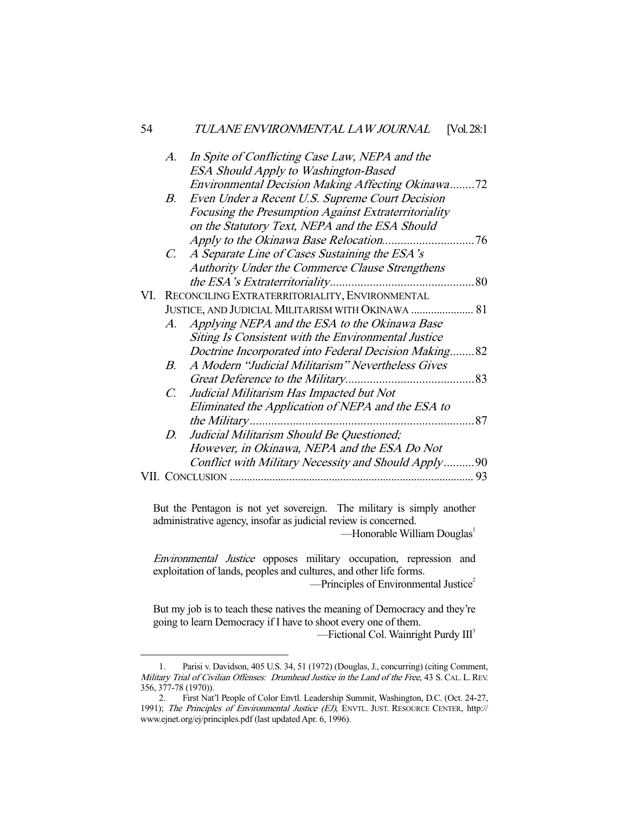|     | $A$ .                                             | In Spite of Conflicting Case Law, NEPA and the       |    |
|-----|---------------------------------------------------|------------------------------------------------------|----|
|     |                                                   | ESA Should Apply to Washington-Based                 |    |
|     |                                                   | Environmental Decision Making Affecting Okinawa72    |    |
|     | B.                                                | Even Under a Recent U.S. Supreme Court Decision      |    |
|     |                                                   | Focusing the Presumption Against Extraterritoriality |    |
|     |                                                   | on the Statutory Text, NEPA and the ESA Should       |    |
|     |                                                   |                                                      |    |
|     | $C_{\cdot}$                                       | A Separate Line of Cases Sustaining the ESA's        |    |
|     |                                                   | Authority Under the Commerce Clause Strengthens      |    |
|     |                                                   |                                                      |    |
| VI. |                                                   | RECONCILING EXTRATERRITORIALITY, ENVIRONMENTAL       |    |
|     | JUSTICE, AND JUDICIAL MILITARISM WITH OKINAWA  81 |                                                      |    |
|     |                                                   | A. Applying NEPA and the ESA to the Okinawa Base     |    |
|     |                                                   | Siting Is Consistent with the Environmental Justice  |    |
|     |                                                   | Doctrine Incorporated into Federal Decision Making82 |    |
|     | $B_{-}$                                           | A Modern "Judicial Militarism" Nevertheless Gives    |    |
|     |                                                   |                                                      |    |
|     | $C_{\cdot}$                                       | Judicial Militarism Has Impacted but Not             |    |
|     |                                                   | Eliminated the Application of NEPA and the ESA to    |    |
|     |                                                   |                                                      |    |
|     | D.                                                | Judicial Militarism Should Be Questioned;            |    |
|     |                                                   | However, in Okinawa, NEPA and the ESA Do Not         |    |
|     |                                                   | Conflict with Military Necessity and Should Apply90  |    |
|     |                                                   |                                                      | 93 |
|     |                                                   |                                                      |    |

But the Pentagon is not yet sovereign. The military is simply another administrative agency, insofar as judicial review is concerned.

—Honorable William Douglas<sup>1</sup>

Environmental Justice opposes military occupation, repression and exploitation of lands, peoples and cultures, and other life forms.  $-$ Principles of Environmental Justice<sup>2</sup>

But my job is to teach these natives the meaning of Democracy and they're going to learn Democracy if I have to shoot every one of them.

 $-$ Fictional Col. Wainright Purdy  $III<sup>3</sup>$ 

 <sup>1.</sup> Parisi v. Davidson, 405 U.S. 34, 51 (1972) (Douglas, J., concurring) (citing Comment, Military Trial of Civilian Offenses: Drumhead Justice in the Land of the Free, 43 S. CAL. L. REV. 356, 377-78 (1970)).

 <sup>2.</sup> First Nat'l People of Color Envtl. Leadership Summit, Washington, D.C. (Oct. 24-27, 1991); The Principles of Environmental Justice (EJ), ENVTL. JUST. RESOURCE CENTER, http:// www.ejnet.org/ej/principles.pdf (last updated Apr. 6, 1996).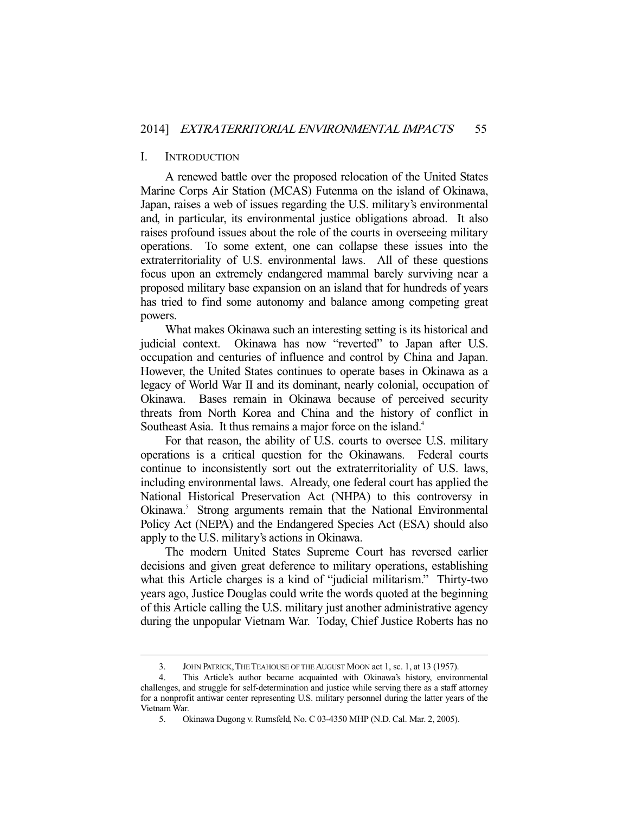#### I. INTRODUCTION

-

 A renewed battle over the proposed relocation of the United States Marine Corps Air Station (MCAS) Futenma on the island of Okinawa, Japan, raises a web of issues regarding the U.S. military's environmental and, in particular, its environmental justice obligations abroad. It also raises profound issues about the role of the courts in overseeing military operations. To some extent, one can collapse these issues into the extraterritoriality of U.S. environmental laws. All of these questions focus upon an extremely endangered mammal barely surviving near a proposed military base expansion on an island that for hundreds of years has tried to find some autonomy and balance among competing great powers.

 What makes Okinawa such an interesting setting is its historical and judicial context. Okinawa has now "reverted" to Japan after U.S. occupation and centuries of influence and control by China and Japan. However, the United States continues to operate bases in Okinawa as a legacy of World War II and its dominant, nearly colonial, occupation of Okinawa. Bases remain in Okinawa because of perceived security threats from North Korea and China and the history of conflict in Southeast Asia. It thus remains a major force on the island.<sup>4</sup>

 For that reason, the ability of U.S. courts to oversee U.S. military operations is a critical question for the Okinawans. Federal courts continue to inconsistently sort out the extraterritoriality of U.S. laws, including environmental laws. Already, one federal court has applied the National Historical Preservation Act (NHPA) to this controversy in Okinawa.<sup>5</sup> Strong arguments remain that the National Environmental Policy Act (NEPA) and the Endangered Species Act (ESA) should also apply to the U.S. military's actions in Okinawa.

 The modern United States Supreme Court has reversed earlier decisions and given great deference to military operations, establishing what this Article charges is a kind of "judicial militarism." Thirty-two years ago, Justice Douglas could write the words quoted at the beginning of this Article calling the U.S. military just another administrative agency during the unpopular Vietnam War. Today, Chief Justice Roberts has no

 <sup>3.</sup> JOHN PATRICK,THE TEAHOUSE OF THE AUGUST MOON act 1, sc. 1, at 13 (1957).

 <sup>4.</sup> This Article's author became acquainted with Okinawa's history, environmental challenges, and struggle for self-determination and justice while serving there as a staff attorney for a nonprofit antiwar center representing U.S. military personnel during the latter years of the Vietnam War.

 <sup>5.</sup> Okinawa Dugong v. Rumsfeld, No. C 03-4350 MHP (N.D. Cal. Mar. 2, 2005).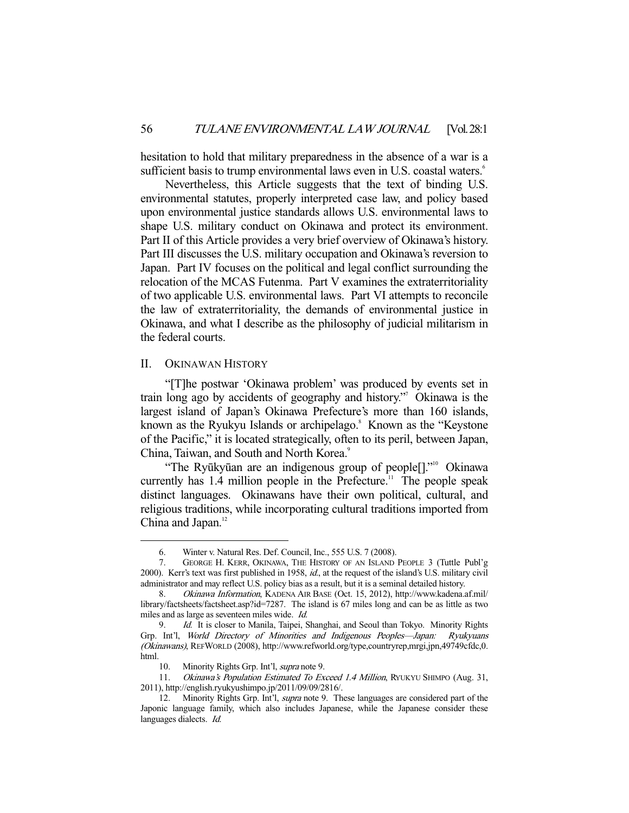hesitation to hold that military preparedness in the absence of a war is a sufficient basis to trump environmental laws even in U.S. coastal waters.<sup>6</sup>

 Nevertheless, this Article suggests that the text of binding U.S. environmental statutes, properly interpreted case law, and policy based upon environmental justice standards allows U.S. environmental laws to shape U.S. military conduct on Okinawa and protect its environment. Part II of this Article provides a very brief overview of Okinawa's history. Part III discusses the U.S. military occupation and Okinawa's reversion to Japan. Part IV focuses on the political and legal conflict surrounding the relocation of the MCAS Futenma. Part V examines the extraterritoriality of two applicable U.S. environmental laws. Part VI attempts to reconcile the law of extraterritoriality, the demands of environmental justice in Okinawa, and what I describe as the philosophy of judicial militarism in the federal courts.

#### II. OKINAWAN HISTORY

-

 "[T]he postwar 'Okinawa problem' was produced by events set in train long ago by accidents of geography and history." Okinawa is the largest island of Japan's Okinawa Prefecture's more than 160 islands, known as the Ryukyu Islands or archipelago.<sup>8</sup> Known as the "Keystone" of the Pacific," it is located strategically, often to its peril, between Japan, China, Taiwan, and South and North Korea.<sup>9</sup>

"The Ryūkyūan are an indigenous group of people<sup>[]"</sup> Okinawa currently has  $1.4$  million people in the Prefecture.<sup>11</sup> The people speak distinct languages. Okinawans have their own political, cultural, and religious traditions, while incorporating cultural traditions imported from China and Japan. $12$ 

 <sup>6.</sup> Winter v. Natural Res. Def. Council, Inc., 555 U.S. 7 (2008).

 <sup>7.</sup> GEORGE H. KERR, OKINAWA, THE HISTORY OF AN ISLAND PEOPLE 3 (Tuttle Publ'g 2000). Kerr's text was first published in 1958, id., at the request of the island's U.S. military civil administrator and may reflect U.S. policy bias as a result, but it is a seminal detailed history.

 <sup>8.</sup> Okinawa Information, KADENA AIR BASE (Oct. 15, 2012), http://www.kadena.af.mil/ library/factsheets/factsheet.asp?id=7287. The island is 67 miles long and can be as little as two miles and as large as seventeen miles wide. Id.

<sup>9.</sup> Id. It is closer to Manila, Taipei, Shanghai, and Seoul than Tokyo. Minority Rights Grp. Int'l, World Directory of Minorities and Indigenous Peoples—Japan: Ryukyuans (Okinawans), REFWORLD (2008), http://www.refworld.org/type,countryrep,mrgi,jpn,49749cfdc,0. html.

<sup>10.</sup> Minority Rights Grp. Int'l, *supra* note 9.

<sup>11.</sup> Okinawa's Population Estimated To Exceed 1.4 Million, RYUKYU SHIMPO (Aug. 31, 2011), http://english.ryukyushimpo.jp/2011/09/09/2816/.

<sup>12.</sup> Minority Rights Grp. Int'l, *supra* note 9. These languages are considered part of the Japonic language family, which also includes Japanese, while the Japanese consider these languages dialects. Id.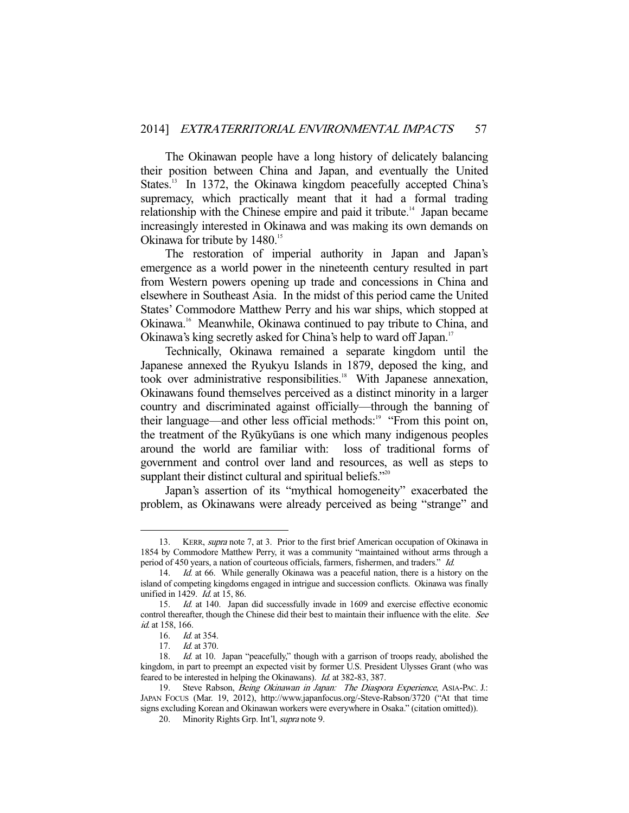The Okinawan people have a long history of delicately balancing their position between China and Japan, and eventually the United States.<sup>13</sup> In 1372, the Okinawa kingdom peacefully accepted China's supremacy, which practically meant that it had a formal trading relationship with the Chinese empire and paid it tribute.<sup>14</sup> Japan became increasingly interested in Okinawa and was making its own demands on Okinawa for tribute by 1480.<sup>15</sup>

 The restoration of imperial authority in Japan and Japan's emergence as a world power in the nineteenth century resulted in part from Western powers opening up trade and concessions in China and elsewhere in Southeast Asia. In the midst of this period came the United States' Commodore Matthew Perry and his war ships, which stopped at Okinawa.16 Meanwhile, Okinawa continued to pay tribute to China, and Okinawa's king secretly asked for China's help to ward off Japan.<sup>17</sup>

 Technically, Okinawa remained a separate kingdom until the Japanese annexed the Ryukyu Islands in 1879, deposed the king, and took over administrative responsibilities.<sup>18</sup> With Japanese annexation, Okinawans found themselves perceived as a distinct minority in a larger country and discriminated against officially—through the banning of their language—and other less official methods:<sup>19</sup> "From this point on, the treatment of the Ryūkyūans is one which many indigenous peoples around the world are familiar with: loss of traditional forms of government and control over land and resources, as well as steps to supplant their distinct cultural and spiritual beliefs."<sup>20</sup>

 Japan's assertion of its "mythical homogeneity" exacerbated the problem, as Okinawans were already perceived as being "strange" and

<sup>13.</sup> KERR, *supra* note 7, at 3. Prior to the first brief American occupation of Okinawa in 1854 by Commodore Matthew Perry, it was a community "maintained without arms through a period of 450 years, a nation of courteous officials, farmers, fishermen, and traders." Id.

<sup>14.</sup> Id. at 66. While generally Okinawa was a peaceful nation, there is a history on the island of competing kingdoms engaged in intrigue and succession conflicts. Okinawa was finally unified in 1429. *Id.* at 15, 86.

 <sup>15.</sup> Id. at 140. Japan did successfully invade in 1609 and exercise effective economic control thereafter, though the Chinese did their best to maintain their influence with the elite. See id. at 158, 166.

 <sup>16.</sup> Id. at 354.

<sup>17.</sup> *Id.* at 370.

<sup>18.</sup> Id. at 10. Japan "peacefully," though with a garrison of troops ready, abolished the kingdom, in part to preempt an expected visit by former U.S. President Ulysses Grant (who was feared to be interested in helping the Okinawans). Id. at 382-83, 387.

<sup>19.</sup> Steve Rabson, Being Okinawan in Japan: The Diaspora Experience, ASIA-PAC. J.: JAPAN FOCUS (Mar. 19, 2012), http://www.japanfocus.org/-Steve-Rabson/3720 ("At that time signs excluding Korean and Okinawan workers were everywhere in Osaka." (citation omitted)).

<sup>20.</sup> Minority Rights Grp. Int'l, *supra* note 9.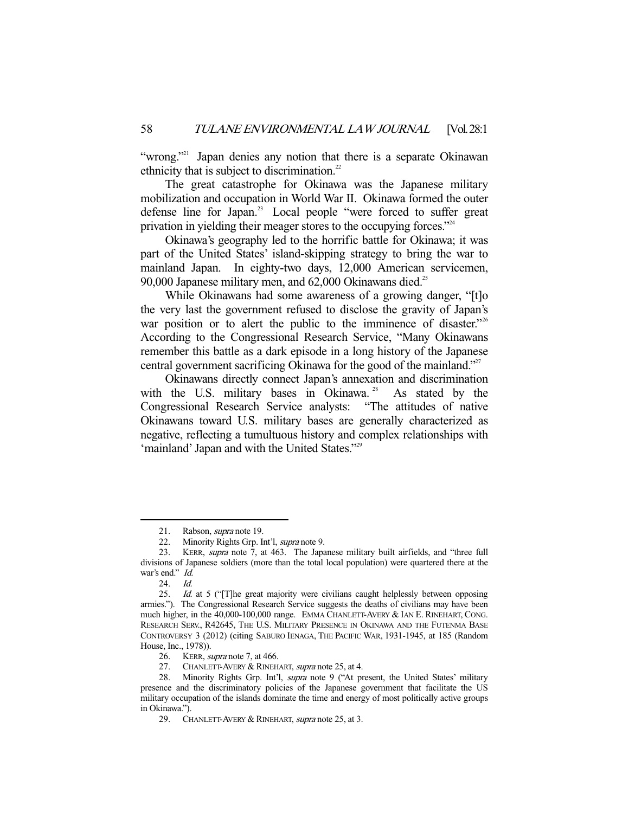"wrong."<sup>21</sup> Japan denies any notion that there is a separate Okinawan ethnicity that is subject to discrimination. $22$ 

The great catastrophe for Okinawa was the Japanese military mobilization and occupation in World War II. Okinawa formed the outer defense line for Japan.<sup>23</sup> Local people "were forced to suffer great privation in yielding their meager stores to the occupying forces."<sup>24</sup>

 Okinawa's geography led to the horrific battle for Okinawa; it was part of the United States' island-skipping strategy to bring the war to mainland Japan. In eighty-two days, 12,000 American servicemen, 90,000 Japanese military men, and  $62,000$  Okinawans died.<sup>25</sup>

 While Okinawans had some awareness of a growing danger, "[t]o the very last the government refused to disclose the gravity of Japan's war position or to alert the public to the imminence of disaster."<sup>26</sup> According to the Congressional Research Service, "Many Okinawans remember this battle as a dark episode in a long history of the Japanese central government sacrificing Okinawa for the good of the mainland."27

 Okinawans directly connect Japan's annexation and discrimination with the U.S. military bases in Okinawa.<sup>28</sup> As stated by the Congressional Research Service analysts: "The attitudes of native Okinawans toward U.S. military bases are generally characterized as negative, reflecting a tumultuous history and complex relationships with 'mainland' Japan and with the United States."29

<sup>21.</sup> Rabson, *supra* note 19.

<sup>22.</sup> Minority Rights Grp. Int'l, *supra* note 9.

<sup>23.</sup> KERR, *supra* note 7, at 463. The Japanese military built airfields, and "three full divisions of Japanese soldiers (more than the total local population) were quartered there at the war's end." Id.

<sup>24.</sup> *Id.*<br>25. *Id.* 

Id. at 5 ("[T]he great majority were civilians caught helplessly between opposing armies."). The Congressional Research Service suggests the deaths of civilians may have been much higher, in the 40,000-100,000 range. EMMA CHANLETT-AVERY & IAN E. RINEHART, CONG. RESEARCH SERV., R42645, THE U.S. MILITARY PRESENCE IN OKINAWA AND THE FUTENMA BASE CONTROVERSY 3 (2012) (citing SABURO IENAGA, THE PACIFIC WAR, 1931-1945, at 185 (Random House, Inc., 1978)).

<sup>26.</sup> KERR, *supra* note 7, at 466.

<sup>27.</sup> CHANLETT-AVERY & RINEHART, *supra* note 25, at 4.

<sup>28.</sup> Minority Rights Grp. Int'l, *supra* note 9 ("At present, the United States' military presence and the discriminatory policies of the Japanese government that facilitate the US military occupation of the islands dominate the time and energy of most politically active groups in Okinawa.").

<sup>29.</sup> CHANLETT-AVERY & RINEHART, supra note 25, at 3.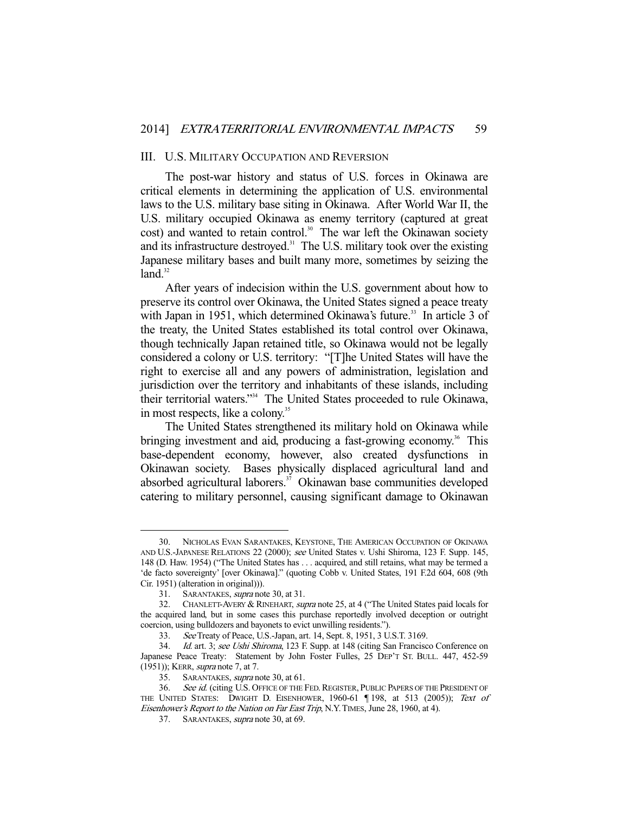#### III. U.S. MILITARY OCCUPATION AND REVERSION

 The post-war history and status of U.S. forces in Okinawa are critical elements in determining the application of U.S. environmental laws to the U.S. military base siting in Okinawa. After World War II, the U.S. military occupied Okinawa as enemy territory (captured at great cost) and wanted to retain control.<sup>30</sup> The war left the Okinawan society and its infrastructure destroyed. $31$  The U.S. military took over the existing Japanese military bases and built many more, sometimes by seizing the  $land<sup>32</sup>$ 

 After years of indecision within the U.S. government about how to preserve its control over Okinawa, the United States signed a peace treaty with Japan in 1951, which determined Okinawa's future.<sup>33</sup> In article 3 of the treaty, the United States established its total control over Okinawa, though technically Japan retained title, so Okinawa would not be legally considered a colony or U.S. territory: "[T]he United States will have the right to exercise all and any powers of administration, legislation and jurisdiction over the territory and inhabitants of these islands, including their territorial waters."34 The United States proceeded to rule Okinawa, in most respects, like a colony.<sup>35</sup>

 The United States strengthened its military hold on Okinawa while bringing investment and aid, producing a fast-growing economy.<sup>36</sup> This base-dependent economy, however, also created dysfunctions in Okinawan society. Bases physically displaced agricultural land and absorbed agricultural laborers.37 Okinawan base communities developed catering to military personnel, causing significant damage to Okinawan

 <sup>30.</sup> NICHOLAS EVAN SARANTAKES, KEYSTONE, THE AMERICAN OCCUPATION OF OKINAWA AND U.S.-JAPANESE RELATIONS 22 (2000); see United States v. Ushi Shiroma, 123 F. Supp. 145, 148 (D. Haw. 1954) ("The United States has . . . acquired, and still retains, what may be termed a 'de facto sovereignty' [over Okinawa]." (quoting Cobb v. United States, 191 F.2d 604, 608 (9th Cir. 1951) (alteration in original))).

 <sup>31.</sup> SARANTAKES, supra note 30, at 31.

 <sup>32.</sup> CHANLETT-AVERY & RINEHART, supra note 25, at 4 ("The United States paid locals for the acquired land, but in some cases this purchase reportedly involved deception or outright coercion, using bulldozers and bayonets to evict unwilling residents.").

 <sup>33.</sup> See Treaty of Peace, U.S.-Japan, art. 14, Sept. 8, 1951, 3 U.S.T. 3169.

<sup>34.</sup> Id. art. 3; see Ushi Shiroma, 123 F. Supp. at 148 (citing San Francisco Conference on Japanese Peace Treaty: Statement by John Foster Fulles, 25 DEP'T ST. BULL. 447, 452-59 (1951)); KERR, *supra* note 7, at 7.

<sup>35.</sup> SARANTAKES, *supra* note 30, at 61.

<sup>36.</sup> See id. (citing U.S. Office of the Fed. Register, Public Papers of the President of THE UNITED STATES: DWIGHT D. EISENHOWER, 1960-61 [198, at 513 (2005)); Text of Eisenhower's Report to the Nation on Far East Trip, N.Y.TIMES, June 28, 1960, at 4).

 <sup>37.</sup> SARANTAKES, supra note 30, at 69.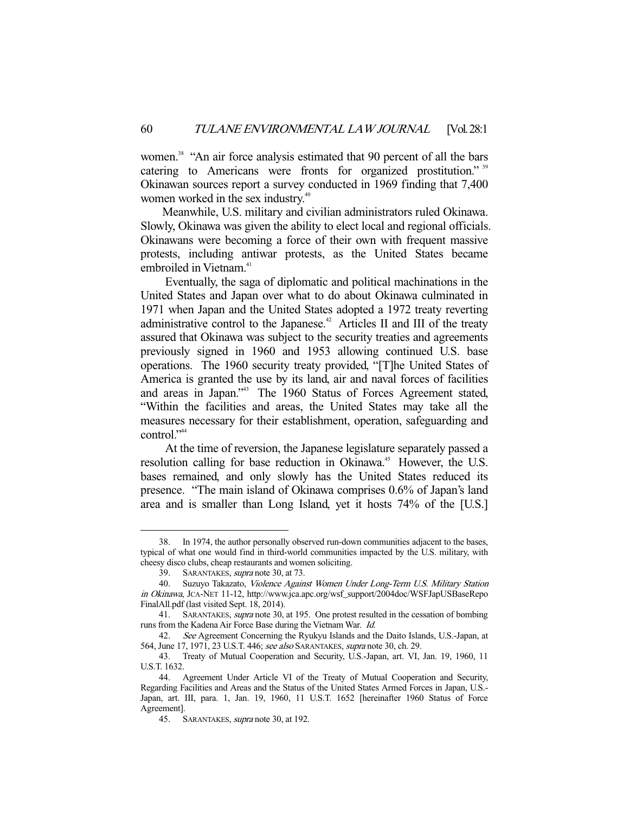women.<sup>38</sup> "An air force analysis estimated that 90 percent of all the bars catering to Americans were fronts for organized prostitution."<sup>39</sup> Okinawan sources report a survey conducted in 1969 finding that 7,400 women worked in the sex industry.<sup>40</sup>

 Meanwhile, U.S. military and civilian administrators ruled Okinawa. Slowly, Okinawa was given the ability to elect local and regional officials. Okinawans were becoming a force of their own with frequent massive protests, including antiwar protests, as the United States became embroiled in Vietnam.<sup>41</sup>

 Eventually, the saga of diplomatic and political machinations in the United States and Japan over what to do about Okinawa culminated in 1971 when Japan and the United States adopted a 1972 treaty reverting administrative control to the Japanese.<sup>42</sup> Articles II and III of the treaty assured that Okinawa was subject to the security treaties and agreements previously signed in 1960 and 1953 allowing continued U.S. base operations. The 1960 security treaty provided, "[T]he United States of America is granted the use by its land, air and naval forces of facilities and areas in Japan."43 The 1960 Status of Forces Agreement stated, "Within the facilities and areas, the United States may take all the measures necessary for their establishment, operation, safeguarding and control."<sup>44</sup>

 At the time of reversion, the Japanese legislature separately passed a resolution calling for base reduction in Okinawa.<sup>45</sup> However, the U.S. bases remained, and only slowly has the United States reduced its presence. "The main island of Okinawa comprises 0.6% of Japan's land area and is smaller than Long Island, yet it hosts 74% of the [U.S.]

 <sup>38.</sup> In 1974, the author personally observed run-down communities adjacent to the bases, typical of what one would find in third-world communities impacted by the U.S. military, with cheesy disco clubs, cheap restaurants and women soliciting.

 <sup>39.</sup> SARANTAKES, supra note 30, at 73.

 <sup>40.</sup> Suzuyo Takazato, Violence Against Women Under Long-Term U.S. Military Station in Okinawa, JCA-NET 11-12, http://www.jca.apc.org/wsf\_support/2004doc/WSFJapUSBaseRepo FinalAll.pdf (last visited Sept. 18, 2014).

<sup>41.</sup> SARANTAKES, *supra* note 30, at 195. One protest resulted in the cessation of bombing runs from the Kadena Air Force Base during the Vietnam War. Id.

 <sup>42.</sup> See Agreement Concerning the Ryukyu Islands and the Daito Islands, U.S.-Japan, at 564, June 17, 1971, 23 U.S.T. 446; see also SARANTAKES, supra note 30, ch. 29.

 <sup>43.</sup> Treaty of Mutual Cooperation and Security, U.S.-Japan, art. VI, Jan. 19, 1960, 11 U.S.T. 1632.

 <sup>44.</sup> Agreement Under Article VI of the Treaty of Mutual Cooperation and Security, Regarding Facilities and Areas and the Status of the United States Armed Forces in Japan, U.S.- Japan, art. III, para. 1, Jan. 19, 1960, 11 U.S.T. 1652 [hereinafter 1960 Status of Force Agreement].

<sup>45.</sup> SARANTAKES, *supra* note 30, at 192.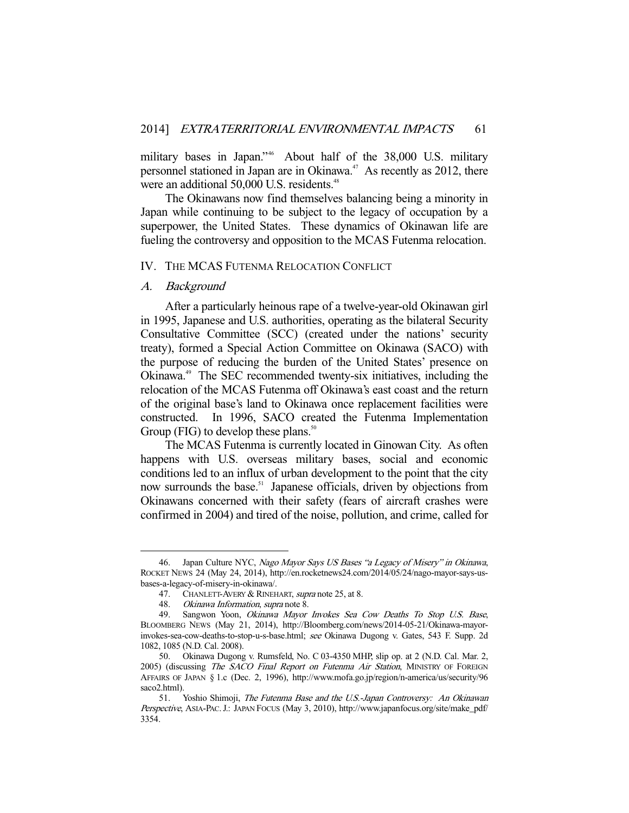military bases in Japan."46 About half of the 38,000 U.S. military personnel stationed in Japan are in Okinawa.<sup>47</sup> As recently as 2012, there were an additional 50,000 U.S. residents.<sup>48</sup>

 The Okinawans now find themselves balancing being a minority in Japan while continuing to be subject to the legacy of occupation by a superpower, the United States. These dynamics of Okinawan life are fueling the controversy and opposition to the MCAS Futenma relocation.

#### IV. THE MCAS FUTENMA RELOCATION CONFLICT

#### A. Background

-

 After a particularly heinous rape of a twelve-year-old Okinawan girl in 1995, Japanese and U.S. authorities, operating as the bilateral Security Consultative Committee (SCC) (created under the nations' security treaty), formed a Special Action Committee on Okinawa (SACO) with the purpose of reducing the burden of the United States' presence on Okinawa.49 The SEC recommended twenty-six initiatives, including the relocation of the MCAS Futenma off Okinawa's east coast and the return of the original base's land to Okinawa once replacement facilities were constructed. In 1996, SACO created the Futenma Implementation Group (FIG) to develop these plans.<sup>50</sup>

 The MCAS Futenma is currently located in Ginowan City. As often happens with U.S. overseas military bases, social and economic conditions led to an influx of urban development to the point that the city now surrounds the base.<sup>51</sup> Japanese officials, driven by objections from Okinawans concerned with their safety (fears of aircraft crashes were confirmed in 2004) and tired of the noise, pollution, and crime, called for

 <sup>46.</sup> Japan Culture NYC, Nago Mayor Says US Bases "a Legacy of Misery" in Okinawa, ROCKET NEWS 24 (May 24, 2014), http://en.rocketnews24.com/2014/05/24/nago-mayor-says-usbases-a-legacy-of-misery-in-okinawa/.

<sup>47.</sup> CHANLETT-AVERY & RINEHART, *supra* note 25, at 8.

 <sup>48.</sup> Okinawa Information, supra note 8.

 <sup>49.</sup> Sangwon Yoon, Okinawa Mayor Invokes Sea Cow Deaths To Stop U.S. Base, BLOOMBERG NEWS (May 21, 2014), http://Bloomberg.com/news/2014-05-21/Okinawa-mayorinvokes-sea-cow-deaths-to-stop-u-s-base.html; see Okinawa Dugong v. Gates, 543 F. Supp. 2d 1082, 1085 (N.D. Cal. 2008).

 <sup>50.</sup> Okinawa Dugong v. Rumsfeld, No. C 03-4350 MHP, slip op. at 2 (N.D. Cal. Mar. 2, 2005) (discussing The SACO Final Report on Futenma Air Station, MINISTRY OF FOREIGN AFFAIRS OF JAPAN § 1.c (Dec. 2, 1996), http://www.mofa.go.jp/region/n-america/us/security/96 saco2.html).

<sup>51.</sup> Yoshio Shimoji, The Futenma Base and the U.S.-Japan Controversy: An Okinawan Perspective, ASIA-PAC. J.: JAPAN FOCUS (May 3, 2010), http://www.japanfocus.org/site/make\_pdf/ 3354.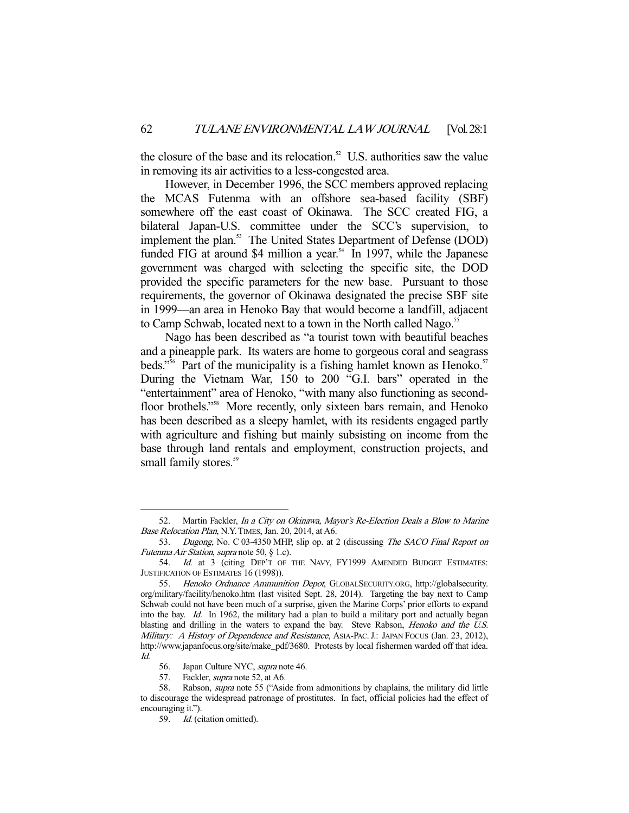the closure of the base and its relocation. $52$  U.S. authorities saw the value in removing its air activities to a less-congested area.

 However, in December 1996, the SCC members approved replacing the MCAS Futenma with an offshore sea-based facility (SBF) somewhere off the east coast of Okinawa. The SCC created FIG, a bilateral Japan-U.S. committee under the SCC's supervision, to implement the plan.<sup>53</sup> The United States Department of Defense (DOD) funded FIG at around \$4 million a year.<sup>54</sup> In 1997, while the Japanese government was charged with selecting the specific site, the DOD provided the specific parameters for the new base. Pursuant to those requirements, the governor of Okinawa designated the precise SBF site in 1999—an area in Henoko Bay that would become a landfill, adjacent to Camp Schwab, located next to a town in the North called Nago.<sup>55</sup>

 Nago has been described as "a tourist town with beautiful beaches and a pineapple park. Its waters are home to gorgeous coral and seagrass beds."<sup>56</sup> Part of the municipality is a fishing hamlet known as Henoko.<sup>57</sup> During the Vietnam War, 150 to 200 "G.I. bars" operated in the "entertainment" area of Henoko, "with many also functioning as secondfloor brothels."<sup>58</sup> More recently, only sixteen bars remain, and Henoko has been described as a sleepy hamlet, with its residents engaged partly with agriculture and fishing but mainly subsisting on income from the base through land rentals and employment, construction projects, and small family stores.<sup>59</sup>

 <sup>52.</sup> Martin Fackler, In a City on Okinawa, Mayor's Re-Election Deals a Blow to Marine Base Relocation Plan, N.Y.TIMES, Jan. 20, 2014, at A6.

<sup>53.</sup> Dugong, No. C 03-4350 MHP, slip op. at 2 (discussing The SACO Final Report on Futenma Air Station, supra note 50, § 1.c).

<sup>54.</sup> Id. at 3 (citing DEP'T OF THE NAVY, FY1999 AMENDED BUDGET ESTIMATES: JUSTIFICATION OF ESTIMATES 16 (1998)).

 <sup>55.</sup> Henoko Ordnance Ammunition Depot, GLOBALSECURITY.ORG, http://globalsecurity. org/military/facility/henoko.htm (last visited Sept. 28, 2014). Targeting the bay next to Camp Schwab could not have been much of a surprise, given the Marine Corps' prior efforts to expand into the bay. Id. In 1962, the military had a plan to build a military port and actually began blasting and drilling in the waters to expand the bay. Steve Rabson, Henoko and the U.S. Military: A History of Dependence and Resistance, ASIA-PAC. J.: JAPAN FOCUS (Jan. 23, 2012), http://www.japanfocus.org/site/make\_pdf/3680. Protests by local fishermen warded off that idea. Id.

<sup>56.</sup> Japan Culture NYC, supra note 46.

<sup>57.</sup> Fackler, *supra* note 52, at A6.

<sup>58.</sup> Rabson, *supra* note 55 ("Aside from admonitions by chaplains, the military did little to discourage the widespread patronage of prostitutes. In fact, official policies had the effect of encouraging it.").

 <sup>59.</sup> Id. (citation omitted).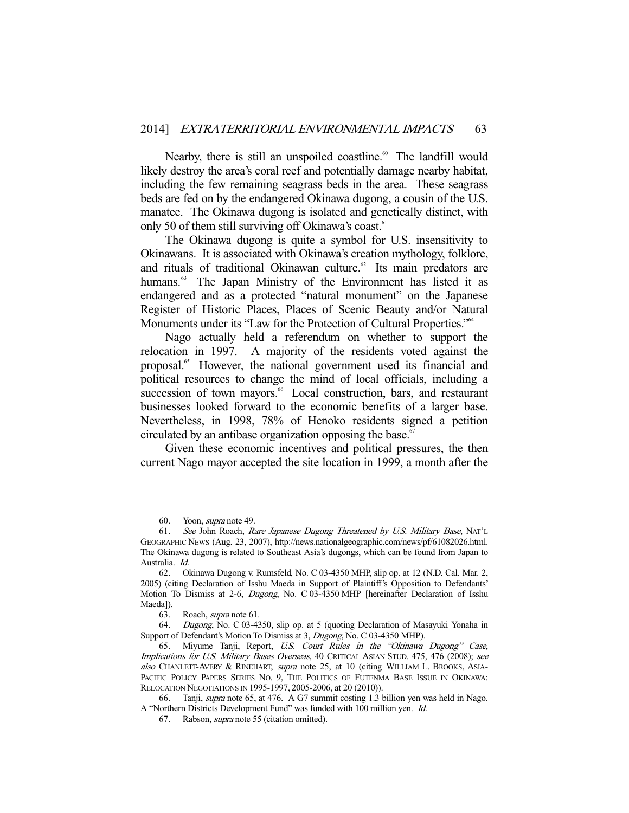Nearby, there is still an unspoiled coastline.<sup>60</sup> The landfill would likely destroy the area's coral reef and potentially damage nearby habitat, including the few remaining seagrass beds in the area. These seagrass beds are fed on by the endangered Okinawa dugong, a cousin of the U.S. manatee. The Okinawa dugong is isolated and genetically distinct, with only 50 of them still surviving off Okinawa's coast.<sup>61</sup>

 The Okinawa dugong is quite a symbol for U.S. insensitivity to Okinawans. It is associated with Okinawa's creation mythology, folklore, and rituals of traditional Okinawan culture.<sup>62</sup> Its main predators are humans.<sup>63</sup> The Japan Ministry of the Environment has listed it as endangered and as a protected "natural monument" on the Japanese Register of Historic Places, Places of Scenic Beauty and/or Natural Monuments under its "Law for the Protection of Cultural Properties."<sup>64</sup>

 Nago actually held a referendum on whether to support the relocation in 1997. A majority of the residents voted against the proposal.65 However, the national government used its financial and political resources to change the mind of local officials, including a succession of town mayors.<sup>66</sup> Local construction, bars, and restaurant businesses looked forward to the economic benefits of a larger base. Nevertheless, in 1998, 78% of Henoko residents signed a petition circulated by an antibase organization opposing the base.<sup>67</sup>

 Given these economic incentives and political pressures, the then current Nago mayor accepted the site location in 1999, a month after the

 <sup>60.</sup> Yoon, supra note 49.

 <sup>61.</sup> See John Roach, Rare Japanese Dugong Threatened by U.S. Military Base, NAT'L GEOGRAPHIC NEWS (Aug. 23, 2007), http://news.nationalgeographic.com/news/pf/61082026.html. The Okinawa dugong is related to Southeast Asia's dugongs, which can be found from Japan to Australia. Id.

 <sup>62.</sup> Okinawa Dugong v. Rumsfeld, No. C 03-4350 MHP, slip op. at 12 (N.D. Cal. Mar. 2, 2005) (citing Declaration of Isshu Maeda in Support of Plaintiff's Opposition to Defendants' Motion To Dismiss at 2-6, Dugong, No. C 03-4350 MHP [hereinafter Declaration of Isshu Maeda]).

 <sup>63.</sup> Roach, supra note 61.

 <sup>64.</sup> Dugong, No. C 03-4350, slip op. at 5 (quoting Declaration of Masayuki Yonaha in Support of Defendant's Motion To Dismiss at 3, Dugong, No. C 03-4350 MHP).

 <sup>65.</sup> Miyume Tanji, Report, U.S. Court Rules in the "Okinawa Dugong" Case, Implications for U.S. Military Bases Overseas, 40 CRITICAL ASIAN STUD. 475, 476 (2008); see also CHANLETT-AVERY & RINEHART, supra note 25, at 10 (citing WILLIAM L. BROOKS, ASIA-PACIFIC POLICY PAPERS SERIES NO. 9, THE POLITICS OF FUTENMA BASE ISSUE IN OKINAWA: RELOCATION NEGOTIATIONS IN 1995-1997, 2005-2006, at 20 (2010)).

 <sup>66.</sup> Tanji, supra note 65, at 476. A G7 summit costing 1.3 billion yen was held in Nago. A "Northern Districts Development Fund" was funded with 100 million yen. Id.

 <sup>67.</sup> Rabson, supra note 55 (citation omitted).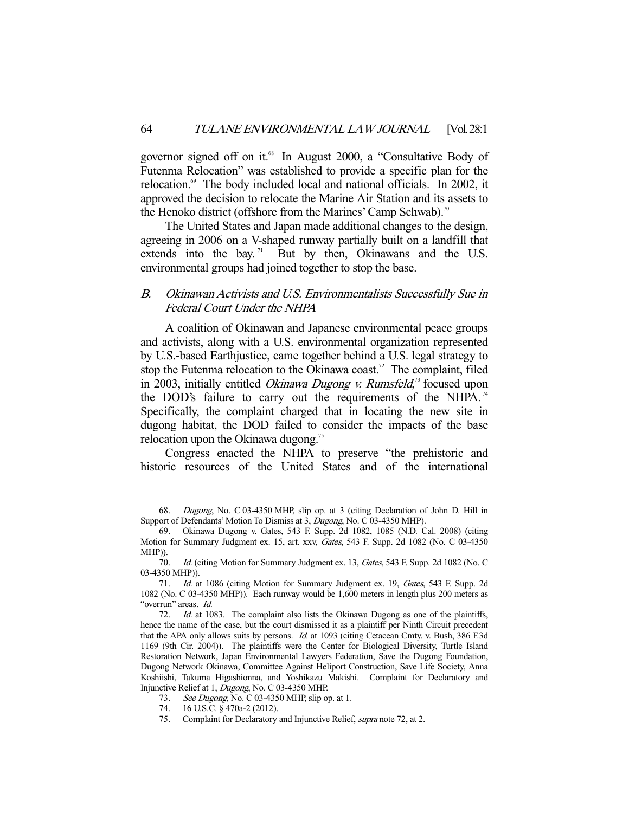governor signed off on it.<sup>68</sup> In August 2000, a "Consultative Body of Futenma Relocation" was established to provide a specific plan for the relocation.<sup>69</sup> The body included local and national officials. In 2002, it approved the decision to relocate the Marine Air Station and its assets to the Henoko district (offshore from the Marines' Camp Schwab).<sup>70</sup>

 The United States and Japan made additional changes to the design, agreeing in 2006 on a V-shaped runway partially built on a landfill that extends into the bay.<sup> $71$ </sup> But by then, Okinawans and the U.S. environmental groups had joined together to stop the base.

# B. Okinawan Activists and U.S. Environmentalists Successfully Sue in Federal Court Under the NHPA

 A coalition of Okinawan and Japanese environmental peace groups and activists, along with a U.S. environmental organization represented by U.S.-based Earthjustice, came together behind a U.S. legal strategy to stop the Futenma relocation to the Okinawa coast.<sup>72</sup> The complaint, filed in 2003, initially entitled Okinawa Dugong v. Rumsfeld,<sup>73</sup> focused upon the DOD's failure to carry out the requirements of the NHPA.<sup>74</sup> Specifically, the complaint charged that in locating the new site in dugong habitat, the DOD failed to consider the impacts of the base relocation upon the Okinawa dugong.<sup>75</sup>

 Congress enacted the NHPA to preserve "the prehistoric and historic resources of the United States and of the international

 <sup>68.</sup> Dugong, No. C 03-4350 MHP, slip op. at 3 (citing Declaration of John D. Hill in Support of Defendants' Motion To Dismiss at 3, Dugong, No. C 03-4350 MHP).

 <sup>69.</sup> Okinawa Dugong v. Gates, 543 F. Supp. 2d 1082, 1085 (N.D. Cal. 2008) (citing Motion for Summary Judgment ex. 15, art. xxv, Gates, 543 F. Supp. 2d 1082 (No. C 03-4350 MHP)).

<sup>70.</sup> Id. (citing Motion for Summary Judgment ex. 13, Gates, 543 F. Supp. 2d 1082 (No. C 03-4350 MHP)).

<sup>71.</sup> Id. at 1086 (citing Motion for Summary Judgment ex. 19, Gates, 543 F. Supp. 2d 1082 (No. C 03-4350 MHP)). Each runway would be 1,600 meters in length plus 200 meters as "overrun" areas. Id.

<sup>72.</sup> *Id.* at 1083. The complaint also lists the Okinawa Dugong as one of the plaintiffs, hence the name of the case, but the court dismissed it as a plaintiff per Ninth Circuit precedent that the APA only allows suits by persons. *Id.* at 1093 (citing Cetacean Cmty. v. Bush, 386 F.3d 1169 (9th Cir. 2004)). The plaintiffs were the Center for Biological Diversity, Turtle Island Restoration Network, Japan Environmental Lawyers Federation, Save the Dugong Foundation, Dugong Network Okinawa, Committee Against Heliport Construction, Save Life Society, Anna Koshiishi, Takuma Higashionna, and Yoshikazu Makishi. Complaint for Declaratory and Injunctive Relief at 1, Dugong, No. C 03-4350 MHP.

<sup>73.</sup> See Dugong, No. C 03-4350 MHP, slip op. at 1.

 <sup>74. 16</sup> U.S.C. § 470a-2 (2012).

 <sup>75.</sup> Complaint for Declaratory and Injunctive Relief, supra note 72, at 2.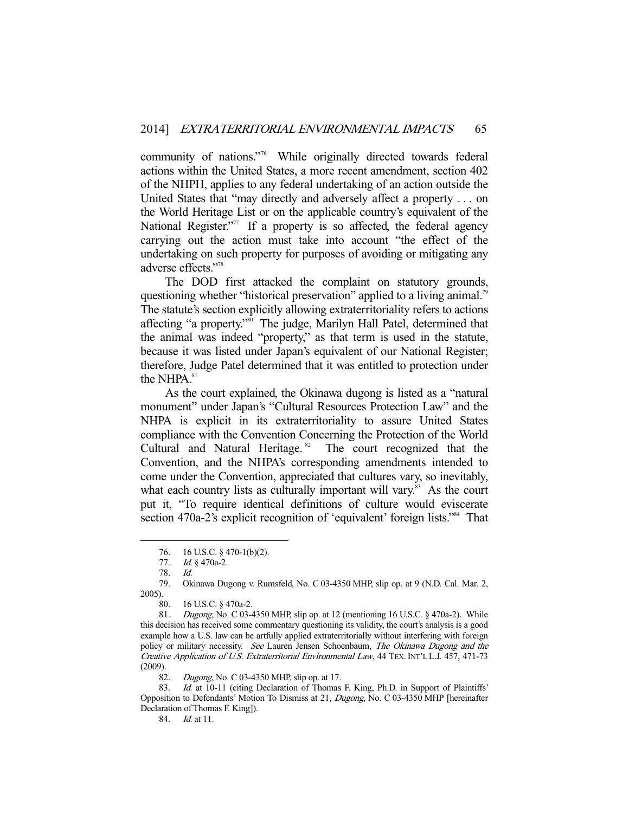community of nations."76 While originally directed towards federal actions within the United States, a more recent amendment, section 402 of the NHPH, applies to any federal undertaking of an action outside the United States that "may directly and adversely affect a property . . . on the World Heritage List or on the applicable country's equivalent of the National Register. $177$  If a property is so affected, the federal agency carrying out the action must take into account "the effect of the undertaking on such property for purposes of avoiding or mitigating any adverse effects."78

 The DOD first attacked the complaint on statutory grounds, questioning whether "historical preservation" applied to a living animal.<sup>79</sup> The statute's section explicitly allowing extraterritoriality refers to actions affecting "a property."80 The judge, Marilyn Hall Patel, determined that the animal was indeed "property," as that term is used in the statute, because it was listed under Japan's equivalent of our National Register; therefore, Judge Patel determined that it was entitled to protection under the NHPA.<sup>81</sup>

 As the court explained, the Okinawa dugong is listed as a "natural monument" under Japan's "Cultural Resources Protection Law" and the NHPA is explicit in its extraterritoriality to assure United States compliance with the Convention Concerning the Protection of the World Cultural and Natural Heritage.<sup>82</sup> The court recognized that the Convention, and the NHPA's corresponding amendments intended to come under the Convention, appreciated that cultures vary, so inevitably, what each country lists as culturally important will vary.<sup>83</sup> As the court put it, "To require identical definitions of culture would eviscerate section 470a-2's explicit recognition of 'equivalent' foreign lists."<sup>34</sup> That

<sup>76. 16</sup> U.S.C. § 470-1(b)(2).<br>77. *Id.* § 470a-2.

Id. § 470a-2.

 <sup>78.</sup> Id.

 <sup>79.</sup> Okinawa Dugong v. Rumsfeld, No. C 03-4350 MHP, slip op. at 9 (N.D. Cal. Mar. 2, 2005).

 <sup>80. 16</sup> U.S.C. § 470a-2.

 <sup>81.</sup> Dugong, No. C 03-4350 MHP, slip op. at 12 (mentioning 16 U.S.C. § 470a-2). While this decision has received some commentary questioning its validity, the court's analysis is a good example how a U.S. law can be artfully applied extraterritorially without interfering with foreign policy or military necessity. See Lauren Jensen Schoenbaum, The Okinawa Dugong and the Creative Application of U.S. Extraterritorial Environmental Law, 44 TEX. INT'L L.J. 457, 471-73 (2009).

 <sup>82.</sup> Dugong, No. C 03-4350 MHP, slip op. at 17.

<sup>83.</sup> Id. at 10-11 (citing Declaration of Thomas F. King, Ph.D. in Support of Plaintiffs' Opposition to Defendants' Motion To Dismiss at 21, Dugong, No. C 03-4350 MHP [hereinafter Declaration of Thomas F. King]).

 <sup>84.</sup> Id. at 11.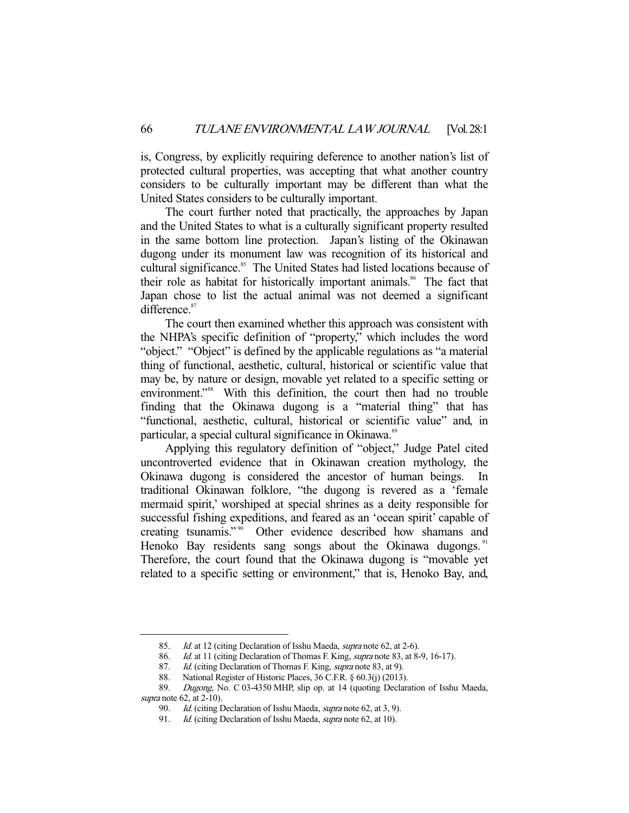is, Congress, by explicitly requiring deference to another nation's list of protected cultural properties, was accepting that what another country considers to be culturally important may be different than what the United States considers to be culturally important.

 The court further noted that practically, the approaches by Japan and the United States to what is a culturally significant property resulted in the same bottom line protection. Japan's listing of the Okinawan dugong under its monument law was recognition of its historical and cultural significance.<sup>85</sup> The United States had listed locations because of their role as habitat for historically important animals.<sup>86</sup> The fact that Japan chose to list the actual animal was not deemed a significant difference.<sup>87</sup>

 The court then examined whether this approach was consistent with the NHPA's specific definition of "property," which includes the word "object." "Object" is defined by the applicable regulations as "a material thing of functional, aesthetic, cultural, historical or scientific value that may be, by nature or design, movable yet related to a specific setting or environment."<sup>88</sup> With this definition, the court then had no trouble finding that the Okinawa dugong is a "material thing" that has "functional, aesthetic, cultural, historical or scientific value" and, in particular, a special cultural significance in Okinawa.<sup>89</sup>

 Applying this regulatory definition of "object," Judge Patel cited uncontroverted evidence that in Okinawan creation mythology, the Okinawa dugong is considered the ancestor of human beings. In traditional Okinawan folklore, "the dugong is revered as a 'female mermaid spirit,' worshiped at special shrines as a deity responsible for successful fishing expeditions, and feared as an 'ocean spirit' capable of creating tsunamis."<sup>90</sup> Other evidence described how shamans and Henoko Bay residents sang songs about the Okinawa dugongs.<sup>91</sup> Therefore, the court found that the Okinawa dugong is "movable yet related to a specific setting or environment," that is, Henoko Bay, and,

<sup>85.</sup> Id. at 12 (citing Declaration of Isshu Maeda, *supra* note 62, at 2-6).<br>86. Id. at 11 (citing Declaration of Thomas F. King, *supra* note 83, at 8-

<sup>86.</sup> Id. at 11 (citing Declaration of Thomas F. King, *supra* note 83, at 8-9, 16-17).<br>87. Id. (citing Declaration of Thomas F. King, *supra* note 83, at 9).

Id. (citing Declaration of Thomas F. King, *supra* note 83, at 9).

 <sup>88.</sup> National Register of Historic Places, 36 C.F.R. § 60.3(j) (2013).

 <sup>89.</sup> Dugong, No. C 03-4350 MHP, slip op. at 14 (quoting Declaration of Isshu Maeda, supra note 62, at 2-10).

<sup>90.</sup> Id. (citing Declaration of Isshu Maeda, supra note 62, at 3, 9).

<sup>91.</sup> Id. (citing Declaration of Isshu Maeda, supra note 62, at 10).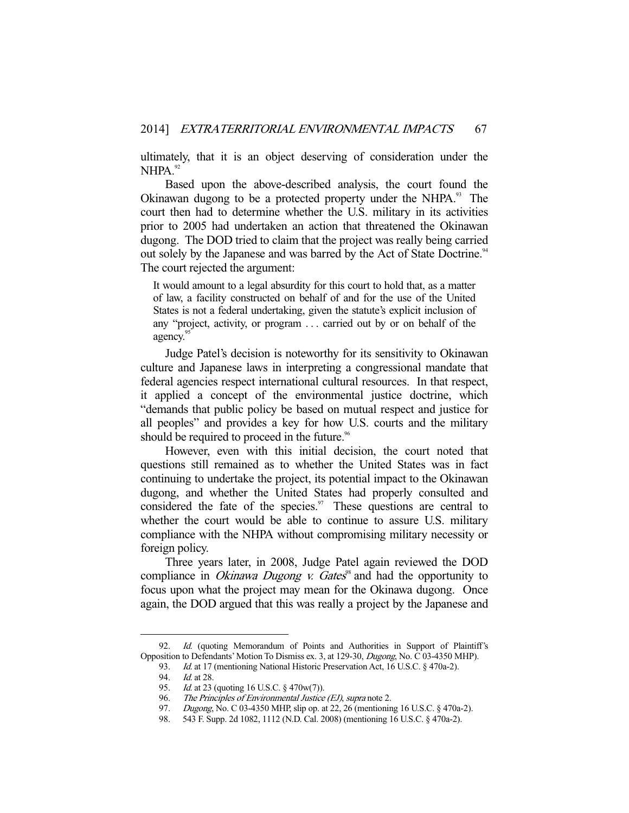ultimately, that it is an object deserving of consideration under the NHPA.<sup>92</sup>

 Based upon the above-described analysis, the court found the Okinawan dugong to be a protected property under the NHPA.<sup>93</sup> The court then had to determine whether the U.S. military in its activities prior to 2005 had undertaken an action that threatened the Okinawan dugong. The DOD tried to claim that the project was really being carried out solely by the Japanese and was barred by the Act of State Doctrine.<sup>94</sup> The court rejected the argument:

It would amount to a legal absurdity for this court to hold that, as a matter of law, a facility constructed on behalf of and for the use of the United States is not a federal undertaking, given the statute's explicit inclusion of any "project, activity, or program . . . carried out by or on behalf of the agency.<sup>95</sup>

 Judge Patel's decision is noteworthy for its sensitivity to Okinawan culture and Japanese laws in interpreting a congressional mandate that federal agencies respect international cultural resources. In that respect, it applied a concept of the environmental justice doctrine, which "demands that public policy be based on mutual respect and justice for all peoples" and provides a key for how U.S. courts and the military should be required to proceed in the future.<sup>96</sup>

 However, even with this initial decision, the court noted that questions still remained as to whether the United States was in fact continuing to undertake the project, its potential impact to the Okinawan dugong, and whether the United States had properly consulted and considered the fate of the species. $\frac{97}{10}$  These questions are central to whether the court would be able to continue to assure U.S. military compliance with the NHPA without compromising military necessity or foreign policy.

 Three years later, in 2008, Judge Patel again reviewed the DOD compliance in *Okinawa Dugong v. Gates*<sup>8</sup> and had the opportunity to focus upon what the project may mean for the Okinawa dugong. Once again, the DOD argued that this was really a project by the Japanese and

 <sup>92.</sup> Id. (quoting Memorandum of Points and Authorities in Support of Plaintiff's Opposition to Defendants' Motion To Dismiss ex. 3, at 129-30, Dugong, No. C 03-4350 MHP).

<sup>93.</sup> *Id.* at 17 (mentioning National Historic Preservation Act, 16 U.S.C. § 470a-2).

 <sup>94.</sup> Id. at 28.

<sup>95.</sup> *Id.* at 23 (quoting 16 U.S.C. § 470w(7)).

<sup>96.</sup> The Principles of Environmental Justice (EJ), supra note 2.

 <sup>97.</sup> Dugong, No. C 03-4350 MHP, slip op. at 22, 26 (mentioning 16 U.S.C. § 470a-2).

 <sup>98. 543</sup> F. Supp. 2d 1082, 1112 (N.D. Cal. 2008) (mentioning 16 U.S.C. § 470a-2).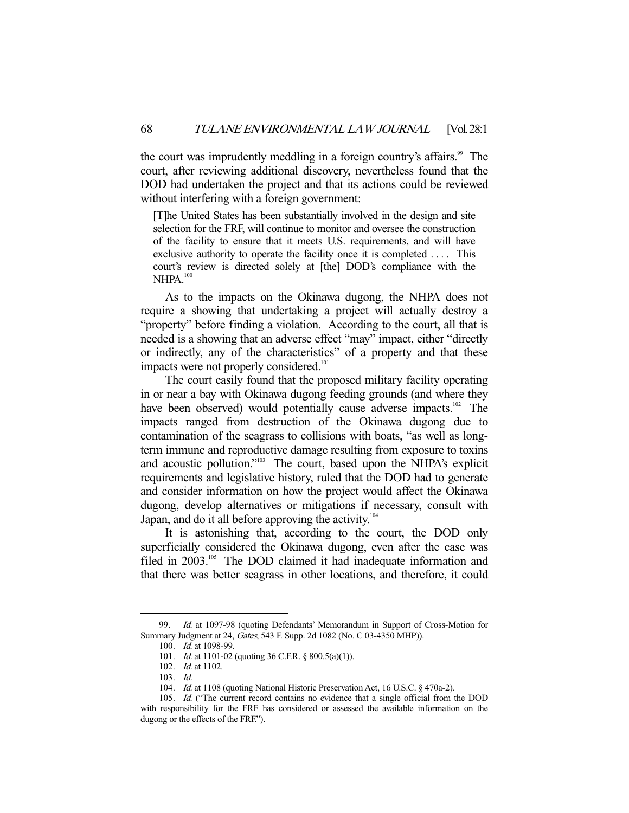the court was imprudently meddling in a foreign country's affairs.<sup>99</sup> The court, after reviewing additional discovery, nevertheless found that the DOD had undertaken the project and that its actions could be reviewed without interfering with a foreign government:

[T]he United States has been substantially involved in the design and site selection for the FRF, will continue to monitor and oversee the construction of the facility to ensure that it meets U.S. requirements, and will have exclusive authority to operate the facility once it is completed .... This court's review is directed solely at [the] DOD's compliance with the NHPA.<sup>100</sup>

 As to the impacts on the Okinawa dugong, the NHPA does not require a showing that undertaking a project will actually destroy a "property" before finding a violation. According to the court, all that is needed is a showing that an adverse effect "may" impact, either "directly or indirectly, any of the characteristics" of a property and that these impacts were not properly considered.<sup>101</sup>

 The court easily found that the proposed military facility operating in or near a bay with Okinawa dugong feeding grounds (and where they have been observed) would potentially cause adverse impacts.<sup>102</sup> The impacts ranged from destruction of the Okinawa dugong due to contamination of the seagrass to collisions with boats, "as well as longterm immune and reproductive damage resulting from exposure to toxins and acoustic pollution."103 The court, based upon the NHPA's explicit requirements and legislative history, ruled that the DOD had to generate and consider information on how the project would affect the Okinawa dugong, develop alternatives or mitigations if necessary, consult with Japan, and do it all before approving the activity.<sup>104</sup>

 It is astonishing that, according to the court, the DOD only superficially considered the Okinawa dugong, even after the case was filed in 2003.<sup>105</sup> The DOD claimed it had inadequate information and that there was better seagrass in other locations, and therefore, it could

<sup>99.</sup> Id. at 1097-98 (quoting Defendants' Memorandum in Support of Cross-Motion for Summary Judgment at 24, Gates, 543 F. Supp. 2d 1082 (No. C 03-4350 MHP)).

 <sup>100.</sup> Id. at 1098-99.

<sup>101.</sup> *Id.* at 1101-02 (quoting 36 C.F.R. § 800.5(a)(1)).

 <sup>102.</sup> Id. at 1102.

 <sup>103.</sup> Id.

<sup>104.</sup> Id. at 1108 (quoting National Historic Preservation Act, 16 U.S.C. § 470a-2).

<sup>105.</sup> Id. ("The current record contains no evidence that a single official from the DOD with responsibility for the FRF has considered or assessed the available information on the dugong or the effects of the FRF.").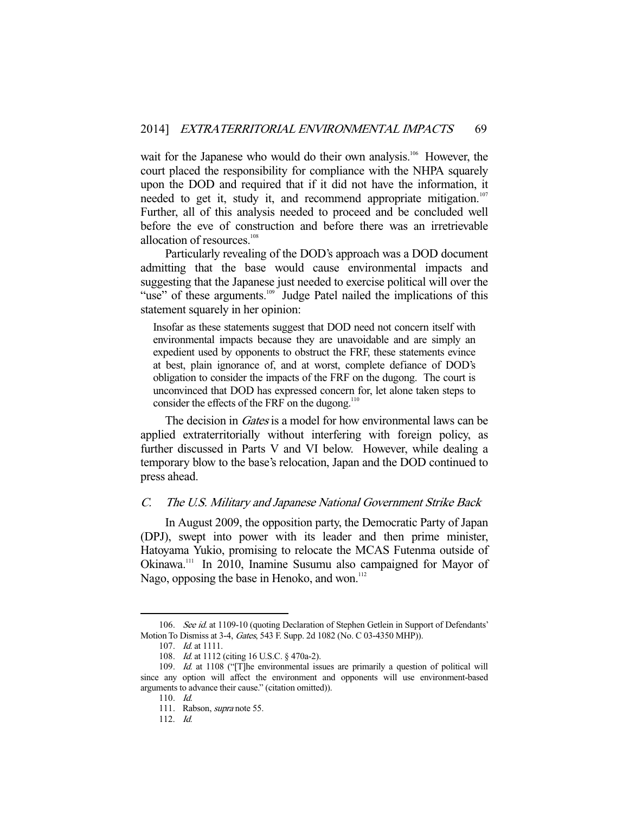wait for the Japanese who would do their own analysis.<sup>106</sup> However, the court placed the responsibility for compliance with the NHPA squarely upon the DOD and required that if it did not have the information, it needed to get it, study it, and recommend appropriate mitigation.<sup>107</sup> Further, all of this analysis needed to proceed and be concluded well before the eve of construction and before there was an irretrievable allocation of resources.<sup>108</sup>

 Particularly revealing of the DOD's approach was a DOD document admitting that the base would cause environmental impacts and suggesting that the Japanese just needed to exercise political will over the "use" of these arguments.<sup>109</sup> Judge Patel nailed the implications of this statement squarely in her opinion:

Insofar as these statements suggest that DOD need not concern itself with environmental impacts because they are unavoidable and are simply an expedient used by opponents to obstruct the FRF, these statements evince at best, plain ignorance of, and at worst, complete defiance of DOD's obligation to consider the impacts of the FRF on the dugong. The court is unconvinced that DOD has expressed concern for, let alone taken steps to consider the effects of the FRF on the dugong.<sup>110</sup>

The decision in *Gates* is a model for how environmental laws can be applied extraterritorially without interfering with foreign policy, as further discussed in Parts V and VI below. However, while dealing a temporary blow to the base's relocation, Japan and the DOD continued to press ahead.

## C. The U.S. Military and Japanese National Government Strike Back

 In August 2009, the opposition party, the Democratic Party of Japan (DPJ), swept into power with its leader and then prime minister, Hatoyama Yukio, promising to relocate the MCAS Futenma outside of Okinawa.111 In 2010, Inamine Susumu also campaigned for Mayor of Nago, opposing the base in Henoko, and won.<sup>112</sup>

<sup>106.</sup> See id. at 1109-10 (quoting Declaration of Stephen Getlein in Support of Defendants' Motion To Dismiss at 3-4, Gates, 543 F. Supp. 2d 1082 (No. C 03-4350 MHP)).

 <sup>107.</sup> Id. at 1111.

<sup>108.</sup> *Id.* at 1112 (citing 16 U.S.C. § 470a-2).

<sup>109.</sup> Id. at 1108 ("[T]he environmental issues are primarily a question of political will since any option will affect the environment and opponents will use environment-based arguments to advance their cause." (citation omitted)).

 <sup>110.</sup> Id.

 <sup>111.</sup> Rabson, supra note 55.

 <sup>112.</sup> Id.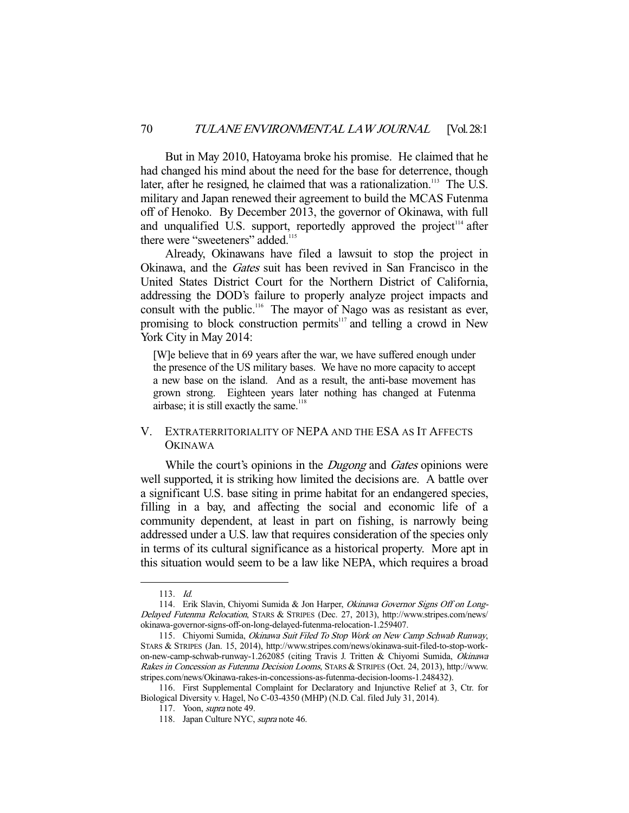But in May 2010, Hatoyama broke his promise. He claimed that he had changed his mind about the need for the base for deterrence, though later, after he resigned, he claimed that was a rationalization.<sup>113</sup> The U.S. military and Japan renewed their agreement to build the MCAS Futenma off of Henoko. By December 2013, the governor of Okinawa, with full and unqualified U.S. support, reportedly approved the project<sup> $114$ </sup> after there were "sweeteners" added.<sup>115</sup>

 Already, Okinawans have filed a lawsuit to stop the project in Okinawa, and the Gates suit has been revived in San Francisco in the United States District Court for the Northern District of California, addressing the DOD's failure to properly analyze project impacts and consult with the public.116 The mayor of Nago was as resistant as ever, promising to block construction permits $117$  and telling a crowd in New York City in May 2014:

[W]e believe that in 69 years after the war, we have suffered enough under the presence of the US military bases. We have no more capacity to accept a new base on the island. And as a result, the anti-base movement has grown strong. Eighteen years later nothing has changed at Futenma airbase; it is still exactly the same.<sup>118</sup>

### V. EXTRATERRITORIALITY OF NEPA AND THE ESA AS IT AFFECTS **OKINAWA**

While the court's opinions in the *Dugong* and *Gates* opinions were well supported, it is striking how limited the decisions are. A battle over a significant U.S. base siting in prime habitat for an endangered species, filling in a bay, and affecting the social and economic life of a community dependent, at least in part on fishing, is narrowly being addressed under a U.S. law that requires consideration of the species only in terms of its cultural significance as a historical property. More apt in this situation would seem to be a law like NEPA, which requires a broad

 <sup>113.</sup> Id.

<sup>114.</sup> Erik Slavin, Chiyomi Sumida & Jon Harper, Okinawa Governor Signs Off on Long-Delayed Futenma Relocation, STARS & STRIPES (Dec. 27, 2013), http://www.stripes.com/news/ okinawa-governor-signs-off-on-long-delayed-futenma-relocation-1.259407.

<sup>115.</sup> Chiyomi Sumida, Okinawa Suit Filed To Stop Work on New Camp Schwab Runway, STARS & STRIPES (Jan. 15, 2014), http://www.stripes.com/news/okinawa-suit-filed-to-stop-workon-new-camp-schwab-runway-1.262085 (citing Travis J. Tritten & Chiyomi Sumida, Okinawa Rakes in Concession as Futenma Decision Looms, STARS & STRIPES (Oct. 24, 2013), http://www. stripes.com/news/Okinawa-rakes-in-concessions-as-futenma-decision-looms-1.248432).

 <sup>116.</sup> First Supplemental Complaint for Declaratory and Injunctive Relief at 3, Ctr. for Biological Diversity v. Hagel, No C-03-4350 (MHP) (N.D. Cal. filed July 31, 2014).

 <sup>117.</sup> Yoon, supra note 49.

<sup>118.</sup> Japan Culture NYC, supra note 46.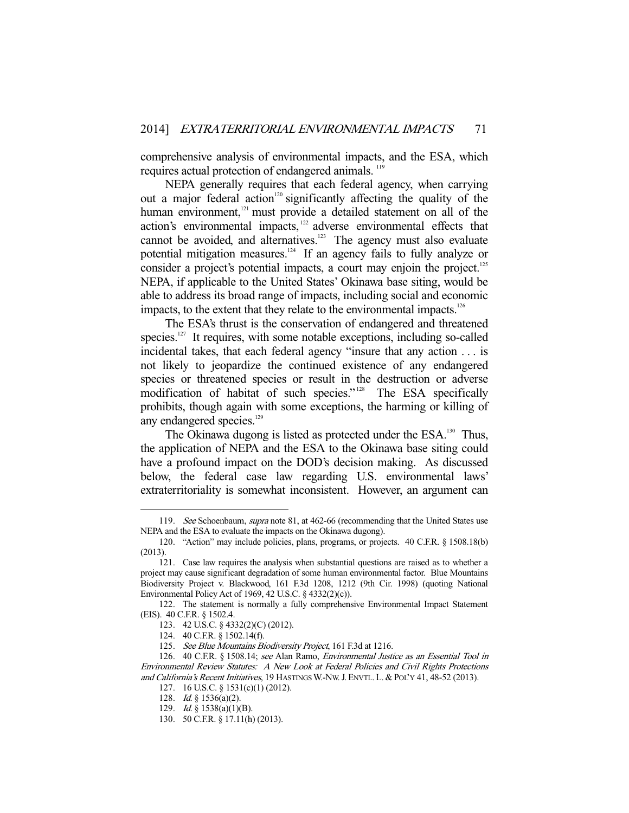comprehensive analysis of environmental impacts, and the ESA, which requires actual protection of endangered animals.<sup>119</sup>

 NEPA generally requires that each federal agency, when carrying out a major federal action<sup>120</sup> significantly affecting the quality of the human environment,<sup>121</sup> must provide a detailed statement on all of the action's environmental impacts, 122 adverse environmental effects that cannot be avoided, and alternatives.<sup>123</sup> The agency must also evaluate potential mitigation measures.124 If an agency fails to fully analyze or consider a project's potential impacts, a court may enjoin the project.<sup>125</sup> NEPA, if applicable to the United States' Okinawa base siting, would be able to address its broad range of impacts, including social and economic impacts, to the extent that they relate to the environmental impacts.<sup>126</sup>

 The ESA's thrust is the conservation of endangered and threatened species.<sup>127</sup> It requires, with some notable exceptions, including so-called incidental takes, that each federal agency "insure that any action . . . is not likely to jeopardize the continued existence of any endangered species or threatened species or result in the destruction or adverse modification of habitat of such species."<sup>128</sup> The ESA specifically prohibits, though again with some exceptions, the harming or killing of any endangered species.<sup>129</sup>

The Okinawa dugong is listed as protected under the ESA.<sup>130</sup> Thus, the application of NEPA and the ESA to the Okinawa base siting could have a profound impact on the DOD's decision making. As discussed below, the federal case law regarding U.S. environmental laws' extraterritoriality is somewhat inconsistent. However, an argument can

<sup>119.</sup> See Schoenbaum, supra note 81, at 462-66 (recommending that the United States use NEPA and the ESA to evaluate the impacts on the Okinawa dugong).

 <sup>120. &</sup>quot;Action" may include policies, plans, programs, or projects. 40 C.F.R. § 1508.18(b) (2013).

 <sup>121.</sup> Case law requires the analysis when substantial questions are raised as to whether a project may cause significant degradation of some human environmental factor. Blue Mountains Biodiversity Project v. Blackwood, 161 F.3d 1208, 1212 (9th Cir. 1998) (quoting National Environmental Policy Act of 1969, 42 U.S.C. § 4332(2)(c)).

 <sup>122.</sup> The statement is normally a fully comprehensive Environmental Impact Statement (EIS). 40 C.F.R. § 1502.4.

 <sup>123. 42</sup> U.S.C. § 4332(2)(C) (2012).

 <sup>124. 40</sup> C.F.R. § 1502.14(f).

 <sup>125.</sup> See Blue Mountains Biodiversity Project, 161 F.3d at 1216.

 <sup>126. 40</sup> C.F.R. § 1508.14; see Alan Ramo, Environmental Justice as an Essential Tool in Environmental Review Statutes: A New Look at Federal Policies and Civil Rights Protections and California's Recent Initiatives, 19 HASTINGS W.-NW. J. ENVTL. L. & POL'Y 41, 48-52 (2013).

 <sup>127. 16</sup> U.S.C. § 1531(c)(1) (2012).

 <sup>128.</sup> Id. § 1536(a)(2).

 <sup>129.</sup> Id. § 1538(a)(1)(B).

 <sup>130. 50</sup> C.F.R. § 17.11(h) (2013).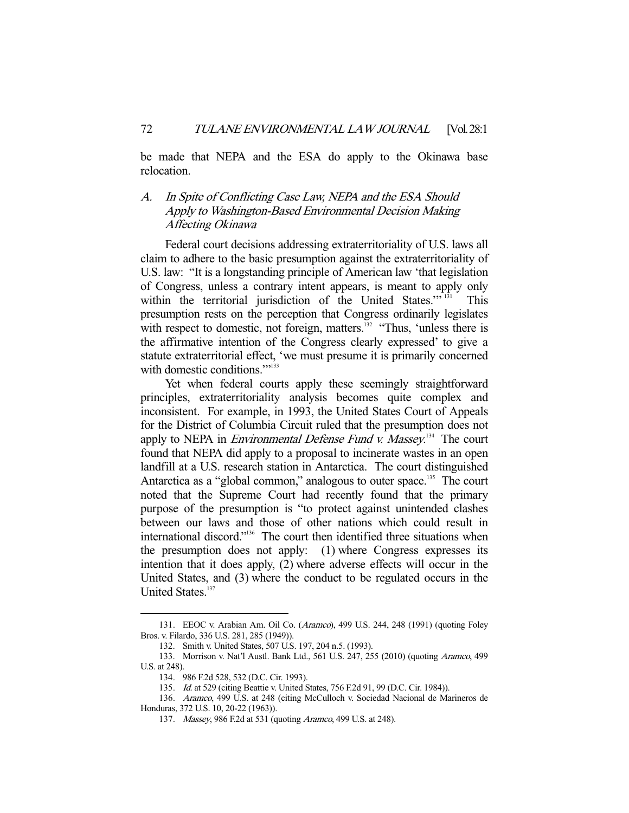be made that NEPA and the ESA do apply to the Okinawa base relocation.

# A. In Spite of Conflicting Case Law, NEPA and the ESA Should Apply to Washington-Based Environmental Decision Making Affecting Okinawa

 Federal court decisions addressing extraterritoriality of U.S. laws all claim to adhere to the basic presumption against the extraterritoriality of U.S. law: "It is a longstanding principle of American law 'that legislation of Congress, unless a contrary intent appears, is meant to apply only within the territorial jurisdiction of the United States."<sup>31</sup> This presumption rests on the perception that Congress ordinarily legislates with respect to domestic, not foreign, matters.<sup>132</sup> "Thus, 'unless there is the affirmative intention of the Congress clearly expressed' to give a statute extraterritorial effect, 'we must presume it is primarily concerned with domestic conditions.""<sup>133</sup>

 Yet when federal courts apply these seemingly straightforward principles, extraterritoriality analysis becomes quite complex and inconsistent. For example, in 1993, the United States Court of Appeals for the District of Columbia Circuit ruled that the presumption does not apply to NEPA in *Environmental Defense Fund v. Massey*.<sup>134</sup> The court found that NEPA did apply to a proposal to incinerate wastes in an open landfill at a U.S. research station in Antarctica. The court distinguished Antarctica as a "global common," analogous to outer space.<sup>135</sup> The court noted that the Supreme Court had recently found that the primary purpose of the presumption is "to protect against unintended clashes between our laws and those of other nations which could result in international discord."136 The court then identified three situations when the presumption does not apply: (1) where Congress expresses its intention that it does apply, (2) where adverse effects will occur in the United States, and (3) where the conduct to be regulated occurs in the United States.<sup>137</sup>

 <sup>131.</sup> EEOC v. Arabian Am. Oil Co. (Aramco), 499 U.S. 244, 248 (1991) (quoting Foley Bros. v. Filardo, 336 U.S. 281, 285 (1949)).

 <sup>132.</sup> Smith v. United States, 507 U.S. 197, 204 n.5. (1993).

 <sup>133.</sup> Morrison v. Nat'l Austl. Bank Ltd., 561 U.S. 247, 255 (2010) (quoting Aramco, 499 U.S. at 248).

 <sup>134. 986</sup> F.2d 528, 532 (D.C. Cir. 1993).

 <sup>135.</sup> Id. at 529 (citing Beattie v. United States, 756 F.2d 91, 99 (D.C. Cir. 1984)).

 <sup>136.</sup> Aramco, 499 U.S. at 248 (citing McCulloch v. Sociedad Nacional de Marineros de Honduras, 372 U.S. 10, 20-22 (1963)).

 <sup>137.</sup> Massey, 986 F.2d at 531 (quoting Aramco, 499 U.S. at 248).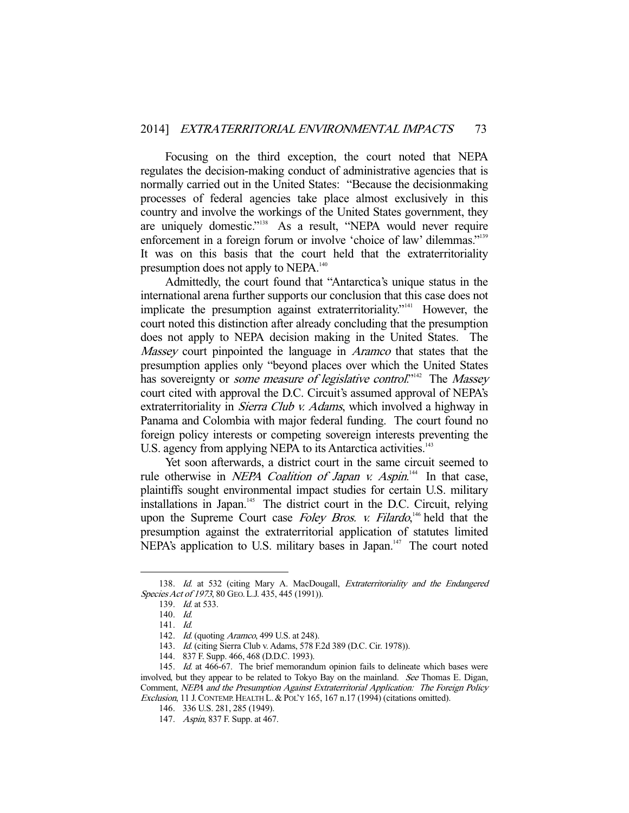Focusing on the third exception, the court noted that NEPA regulates the decision-making conduct of administrative agencies that is normally carried out in the United States: "Because the decisionmaking processes of federal agencies take place almost exclusively in this country and involve the workings of the United States government, they are uniquely domestic."<sup>138</sup> As a result, "NEPA would never require enforcement in a foreign forum or involve 'choice of law' dilemmas."<sup>139</sup> It was on this basis that the court held that the extraterritoriality presumption does not apply to NEPA.<sup>140</sup>

 Admittedly, the court found that "Antarctica's unique status in the international arena further supports our conclusion that this case does not implicate the presumption against extraterritoriality."<sup>141</sup> However, the court noted this distinction after already concluding that the presumption does not apply to NEPA decision making in the United States. The Massey court pinpointed the language in *Aramco* that states that the presumption applies only "beyond places over which the United States has sovereignty or *some measure of legislative control*."<sup>142</sup> The *Massey* court cited with approval the D.C. Circuit's assumed approval of NEPA's extraterritoriality in *Sierra Club v. Adams*, which involved a highway in Panama and Colombia with major federal funding. The court found no foreign policy interests or competing sovereign interests preventing the U.S. agency from applying NEPA to its Antarctica activities.<sup>143</sup>

 Yet soon afterwards, a district court in the same circuit seemed to rule otherwise in *NEPA Coalition of Japan v. Aspin*.<sup>144</sup> In that case, plaintiffs sought environmental impact studies for certain U.S. military installations in Japan.<sup>145</sup> The district court in the D.C. Circuit, relying upon the Supreme Court case Foley Bros. v. Filardo,<sup>146</sup> held that the presumption against the extraterritorial application of statutes limited NEPA's application to U.S. military bases in Japan.<sup>147</sup> The court noted

<sup>138.</sup> Id. at 532 (citing Mary A. MacDougall, Extraterritoriality and the Endangered Species Act of 1973, 80 GEO. L.J. 435, 445 (1991)).

 <sup>139.</sup> Id. at 533.

 <sup>140.</sup> Id.

 <sup>141.</sup> Id.

<sup>142.</sup> *Id.* (quoting *Aramco*, 499 U.S. at 248).

 <sup>143.</sup> Id. (citing Sierra Club v. Adams, 578 F.2d 389 (D.C. Cir. 1978)).

 <sup>144. 837</sup> F. Supp. 466, 468 (D.D.C. 1993).

<sup>145.</sup> Id. at 466-67. The brief memorandum opinion fails to delineate which bases were involved, but they appear to be related to Tokyo Bay on the mainland. See Thomas E. Digan, Comment, NEPA and the Presumption Against Extraterritorial Application: The Foreign Policy Exclusion, 11 J.CONTEMP. HEALTH L.& POL'Y 165, 167 n.17 (1994) (citations omitted).

 <sup>146. 336</sup> U.S. 281, 285 (1949).

 <sup>147.</sup> Aspin, 837 F. Supp. at 467.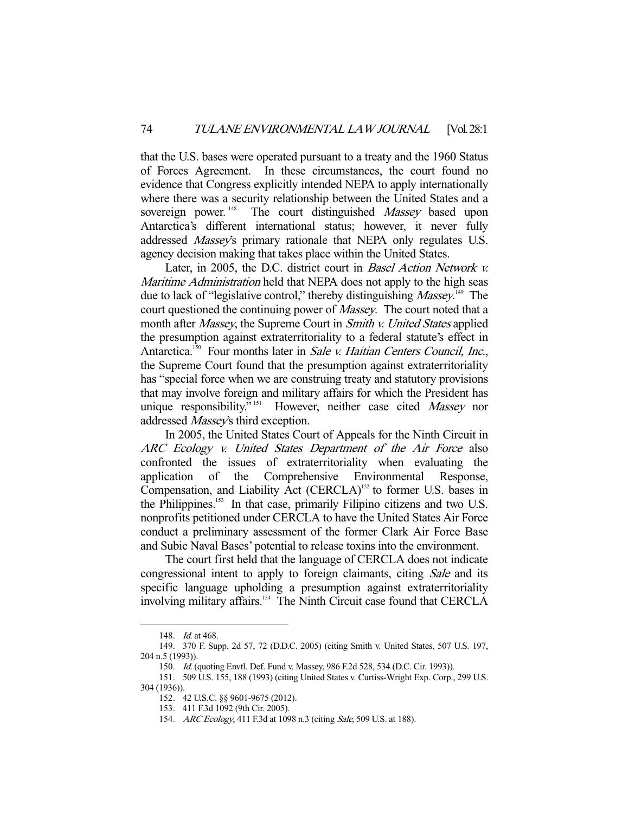that the U.S. bases were operated pursuant to a treaty and the 1960 Status of Forces Agreement. In these circumstances, the court found no evidence that Congress explicitly intended NEPA to apply internationally where there was a security relationship between the United States and a sovereign power.<sup>148</sup> The court distinguished *Massey* based upon Antarctica's different international status; however, it never fully addressed Massey's primary rationale that NEPA only regulates U.S. agency decision making that takes place within the United States.

 Later, in 2005, the D.C. district court in Basel Action Network v. Maritime Administration held that NEPA does not apply to the high seas due to lack of "legislative control," thereby distinguishing Massey.<sup>149</sup> The court questioned the continuing power of *Massey*. The court noted that a month after *Massey*, the Supreme Court in *Smith v. United States* applied the presumption against extraterritoriality to a federal statute's effect in Antarctica.<sup>150</sup> Four months later in Sale v. Haitian Centers Council, Inc., the Supreme Court found that the presumption against extraterritoriality has "special force when we are construing treaty and statutory provisions that may involve foreign and military affairs for which the President has unique responsibility."<sup>151</sup> However, neither case cited Massey nor addressed Massey's third exception.

 In 2005, the United States Court of Appeals for the Ninth Circuit in ARC Ecology v. United States Department of the Air Force also confronted the issues of extraterritoriality when evaluating the application of the Comprehensive Environmental Response, Compensation, and Liability Act (CERCLA)<sup>152</sup> to former U.S. bases in the Philippines.<sup>153</sup> In that case, primarily Filipino citizens and two U.S. nonprofits petitioned under CERCLA to have the United States Air Force conduct a preliminary assessment of the former Clark Air Force Base and Subic Naval Bases' potential to release toxins into the environment.

 The court first held that the language of CERCLA does not indicate congressional intent to apply to foreign claimants, citing Sale and its specific language upholding a presumption against extraterritoriality involving military affairs.<sup>154</sup> The Ninth Circuit case found that CERCLA

<sup>148.</sup> *Id.* at 468.

 <sup>149. 370</sup> F. Supp. 2d 57, 72 (D.D.C. 2005) (citing Smith v. United States, 507 U.S. 197, 204 n.5 (1993)).

<sup>150.</sup> Id. (quoting Envtl. Def. Fund v. Massey, 986 F.2d 528, 534 (D.C. Cir. 1993)).

 <sup>151. 509</sup> U.S. 155, 188 (1993) (citing United States v. Curtiss-Wright Exp. Corp., 299 U.S. 304 (1936)).

 <sup>152. 42</sup> U.S.C. §§ 9601-9675 (2012).

 <sup>153. 411</sup> F.3d 1092 (9th Cir. 2005).

<sup>154.</sup> ARC Ecology, 411 F.3d at 1098 n.3 (citing Sale, 509 U.S. at 188).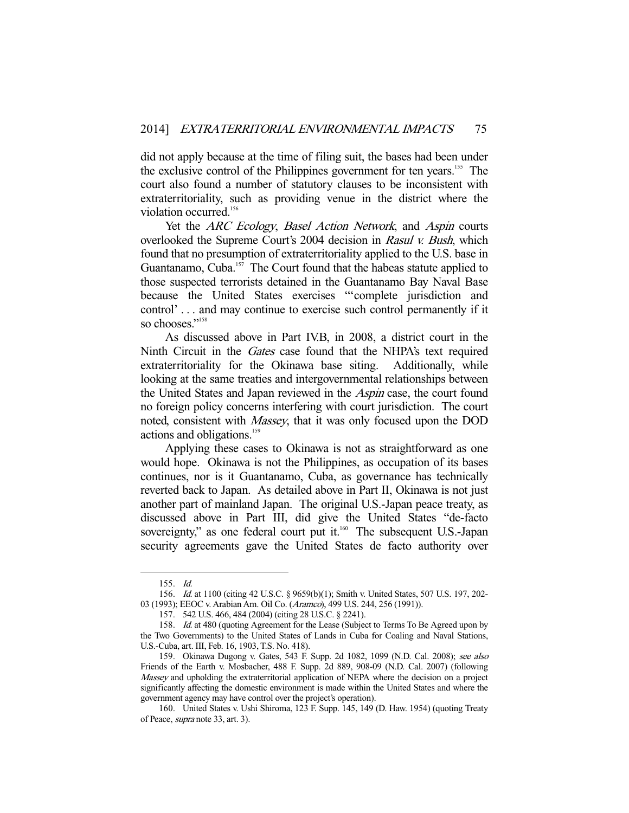did not apply because at the time of filing suit, the bases had been under the exclusive control of the Philippines government for ten years.<sup>155</sup> The court also found a number of statutory clauses to be inconsistent with extraterritoriality, such as providing venue in the district where the violation occurred.<sup>156</sup>

Yet the ARC Ecology, Basel Action Network, and Aspin courts overlooked the Supreme Court's 2004 decision in Rasul v. Bush, which found that no presumption of extraterritoriality applied to the U.S. base in Guantanamo, Cuba. $157$  The Court found that the habeas statute applied to those suspected terrorists detained in the Guantanamo Bay Naval Base because the United States exercises "'complete jurisdiction and control' . . . and may continue to exercise such control permanently if it so chooses<sup>"158</sup>

 As discussed above in Part IV.B, in 2008, a district court in the Ninth Circuit in the *Gates* case found that the NHPA's text required extraterritoriality for the Okinawa base siting. Additionally, while looking at the same treaties and intergovernmental relationships between the United States and Japan reviewed in the Aspin case, the court found no foreign policy concerns interfering with court jurisdiction. The court noted, consistent with *Massey*, that it was only focused upon the DOD actions and obligations.<sup>159</sup>

 Applying these cases to Okinawa is not as straightforward as one would hope. Okinawa is not the Philippines, as occupation of its bases continues, nor is it Guantanamo, Cuba, as governance has technically reverted back to Japan. As detailed above in Part II, Okinawa is not just another part of mainland Japan. The original U.S.-Japan peace treaty, as discussed above in Part III, did give the United States "de-facto sovereignty," as one federal court put it.<sup>160</sup> The subsequent U.S.-Japan security agreements gave the United States de facto authority over

 <sup>155.</sup> Id.

 <sup>156.</sup> Id. at 1100 (citing 42 U.S.C. § 9659(b)(1); Smith v. United States, 507 U.S. 197, 202- 03 (1993); EEOC v. Arabian Am. Oil Co. (Aramco), 499 U.S. 244, 256 (1991)).

 <sup>157. 542</sup> U.S. 466, 484 (2004) (citing 28 U.S.C. § 2241).

<sup>158.</sup> Id. at 480 (quoting Agreement for the Lease (Subject to Terms To Be Agreed upon by the Two Governments) to the United States of Lands in Cuba for Coaling and Naval Stations, U.S.-Cuba, art. III, Feb. 16, 1903, T.S. No. 418).

 <sup>159.</sup> Okinawa Dugong v. Gates, 543 F. Supp. 2d 1082, 1099 (N.D. Cal. 2008); see also Friends of the Earth v. Mosbacher, 488 F. Supp. 2d 889, 908-09 (N.D. Cal. 2007) (following Massey and upholding the extraterritorial application of NEPA where the decision on a project significantly affecting the domestic environment is made within the United States and where the government agency may have control over the project's operation).

 <sup>160.</sup> United States v. Ushi Shiroma, 123 F. Supp. 145, 149 (D. Haw. 1954) (quoting Treaty of Peace, supra note 33, art. 3).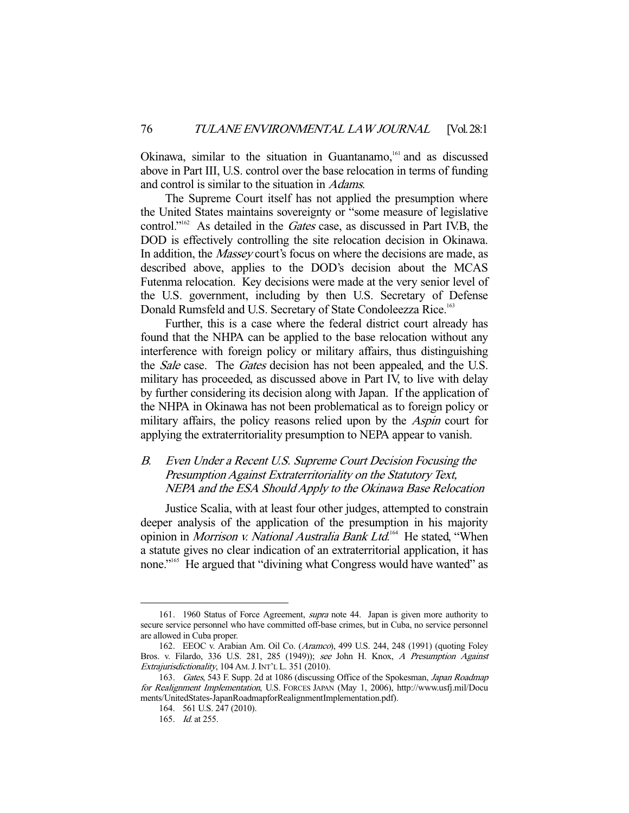Okinawa, similar to the situation in Guantanamo,<sup>161</sup> and as discussed above in Part III, U.S. control over the base relocation in terms of funding and control is similar to the situation in Adams.

 The Supreme Court itself has not applied the presumption where the United States maintains sovereignty or "some measure of legislative control."<sup>162</sup> As detailed in the *Gates* case, as discussed in Part IV.B, the DOD is effectively controlling the site relocation decision in Okinawa. In addition, the *Massey* court's focus on where the decisions are made, as described above, applies to the DOD's decision about the MCAS Futenma relocation. Key decisions were made at the very senior level of the U.S. government, including by then U.S. Secretary of Defense Donald Rumsfeld and U.S. Secretary of State Condoleezza Rice.<sup>163</sup>

 Further, this is a case where the federal district court already has found that the NHPA can be applied to the base relocation without any interference with foreign policy or military affairs, thus distinguishing the *Sale* case. The *Gates* decision has not been appealed, and the U.S. military has proceeded, as discussed above in Part IV, to live with delay by further considering its decision along with Japan. If the application of the NHPA in Okinawa has not been problematical as to foreign policy or military affairs, the policy reasons relied upon by the *Aspin* court for applying the extraterritoriality presumption to NEPA appear to vanish.

# B. Even Under a Recent U.S. Supreme Court Decision Focusing the Presumption Against Extraterritoriality on the Statutory Text, NEPA and the ESA Should Apply to the Okinawa Base Relocation

 Justice Scalia, with at least four other judges, attempted to constrain deeper analysis of the application of the presumption in his majority opinion in *Morrison v. National Australia Bank Ltd*.<sup>164</sup> He stated, "When a statute gives no clear indication of an extraterritorial application, it has none."165 He argued that "divining what Congress would have wanted" as

 <sup>161. 1960</sup> Status of Force Agreement, supra note 44. Japan is given more authority to secure service personnel who have committed off-base crimes, but in Cuba, no service personnel are allowed in Cuba proper.

 <sup>162.</sup> EEOC v. Arabian Am. Oil Co. (Aramco), 499 U.S. 244, 248 (1991) (quoting Foley Bros. v. Filardo, 336 U.S. 281, 285 (1949)); see John H. Knox, A Presumption Against Extrajurisdictionality, 104 AM.J.INT'L L. 351 (2010).

<sup>163.</sup> Gates, 543 F. Supp. 2d at 1086 (discussing Office of the Spokesman, Japan Roadmap for Realignment Implementation, U.S. FORCES JAPAN (May 1, 2006), http://www.usfj.mil/Docu ments/UnitedStates-JapanRoadmapforRealignmentImplementation.pdf).

 <sup>164. 561</sup> U.S. 247 (2010).

<sup>165.</sup> *Id.* at 255.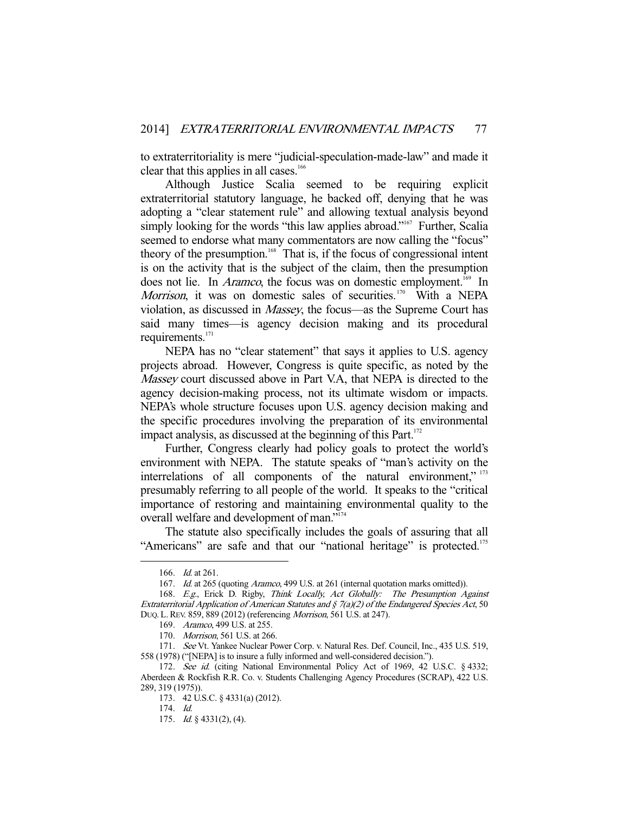to extraterritoriality is mere "judicial-speculation-made-law" and made it clear that this applies in all cases.<sup>166</sup>

 Although Justice Scalia seemed to be requiring explicit extraterritorial statutory language, he backed off, denying that he was adopting a "clear statement rule" and allowing textual analysis beyond simply looking for the words "this law applies abroad."<sup>167</sup> Further, Scalia seemed to endorse what many commentators are now calling the "focus" theory of the presumption.<sup>168</sup> That is, if the focus of congressional intent is on the activity that is the subject of the claim, then the presumption does not lie. In *Aramco*, the focus was on domestic employment.<sup>169</sup> In Morrison, it was on domestic sales of securities.<sup>170</sup> With a NEPA violation, as discussed in Massey, the focus—as the Supreme Court has said many times—is agency decision making and its procedural requirements. $171$ 

 NEPA has no "clear statement" that says it applies to U.S. agency projects abroad. However, Congress is quite specific, as noted by the Massey court discussed above in Part V.A, that NEPA is directed to the agency decision-making process, not its ultimate wisdom or impacts. NEPA's whole structure focuses upon U.S. agency decision making and the specific procedures involving the preparation of its environmental impact analysis, as discussed at the beginning of this Part.<sup>172</sup>

 Further, Congress clearly had policy goals to protect the world's environment with NEPA. The statute speaks of "man's activity on the interrelations of all components of the natural environment," 173 presumably referring to all people of the world. It speaks to the "critical importance of restoring and maintaining environmental quality to the overall welfare and development of man."174

 The statute also specifically includes the goals of assuring that all "Americans" are safe and that our "national heritage" is protected.<sup>175</sup>

 <sup>166.</sup> Id. at 261.

<sup>167.</sup> Id. at 265 (quoting Aramco, 499 U.S. at 261 (internal quotation marks omitted)).

 <sup>168.</sup> E.g., Erick D. Rigby, Think Locally, Act Globally: The Presumption Against Extraterritorial Application of American Statutes and  $\zeta$  7(a)(2) of the Endangered Species Act, 50 DUQ.L.REV. 859, 889 (2012) (referencing Morrison, 561 U.S. at 247).

 <sup>169.</sup> Aramco, 499 U.S. at 255.

 <sup>170.</sup> Morrison, 561 U.S. at 266.

<sup>171.</sup> See Vt. Yankee Nuclear Power Corp. v. Natural Res. Def. Council, Inc., 435 U.S. 519, 558 (1978) ("[NEPA] is to insure a fully informed and well-considered decision.").

<sup>172.</sup> See id. (citing National Environmental Policy Act of 1969, 42 U.S.C. § 4332; Aberdeen & Rockfish R.R. Co. v. Students Challenging Agency Procedures (SCRAP), 422 U.S. 289, 319 (1975)).

 <sup>173. 42</sup> U.S.C. § 4331(a) (2012).

 <sup>174.</sup> Id.

 <sup>175.</sup> Id. § 4331(2), (4).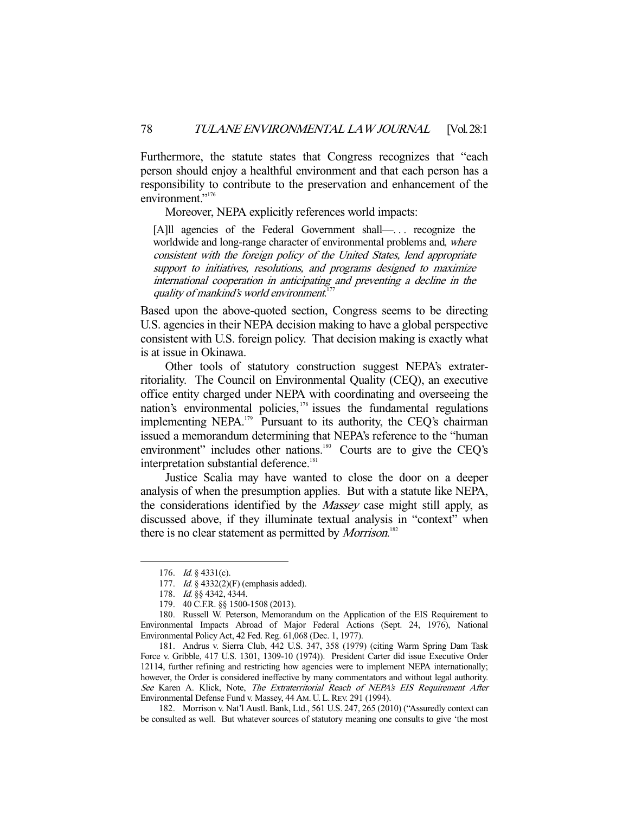Furthermore, the statute states that Congress recognizes that "each person should enjoy a healthful environment and that each person has a responsibility to contribute to the preservation and enhancement of the environment."<sup>176</sup>

Moreover, NEPA explicitly references world impacts:

[A]ll agencies of the Federal Government shall—. . . recognize the worldwide and long-range character of environmental problems and, where consistent with the foreign policy of the United States, lend appropriate support to initiatives, resolutions, and programs designed to maximize international cooperation in anticipating and preventing a decline in the quality of mankind's world environment.<sup>177</sup>

Based upon the above-quoted section, Congress seems to be directing U.S. agencies in their NEPA decision making to have a global perspective consistent with U.S. foreign policy. That decision making is exactly what is at issue in Okinawa.

 Other tools of statutory construction suggest NEPA's extraterritoriality. The Council on Environmental Quality (CEQ), an executive office entity charged under NEPA with coordinating and overseeing the nation's environmental policies,<sup>178</sup> issues the fundamental regulations implementing NEPA.<sup>179</sup> Pursuant to its authority, the CEQ's chairman issued a memorandum determining that NEPA's reference to the "human environment" includes other nations.<sup>180</sup> Courts are to give the CEQ's interpretation substantial deference.<sup>181</sup>

 Justice Scalia may have wanted to close the door on a deeper analysis of when the presumption applies. But with a statute like NEPA, the considerations identified by the *Massey* case might still apply, as discussed above, if they illuminate textual analysis in "context" when there is no clear statement as permitted by *Morrison*.<sup>182</sup>

-

 182. Morrison v. Nat'l Austl. Bank, Ltd., 561 U.S. 247, 265 (2010) ("Assuredly context can be consulted as well. But whatever sources of statutory meaning one consults to give 'the most

 <sup>176.</sup> Id. § 4331(c).

<sup>177.</sup> *Id.* § 4332(2)(F) (emphasis added).

 <sup>178.</sup> Id. §§ 4342, 4344.

 <sup>179. 40</sup> C.F.R. §§ 1500-1508 (2013).

 <sup>180.</sup> Russell W. Peterson, Memorandum on the Application of the EIS Requirement to Environmental Impacts Abroad of Major Federal Actions (Sept. 24, 1976), National Environmental Policy Act, 42 Fed. Reg. 61,068 (Dec. 1, 1977).

 <sup>181.</sup> Andrus v. Sierra Club, 442 U.S. 347, 358 (1979) (citing Warm Spring Dam Task Force v. Gribble, 417 U.S. 1301, 1309-10 (1974)). President Carter did issue Executive Order 12114, further refining and restricting how agencies were to implement NEPA internationally; however, the Order is considered ineffective by many commentators and without legal authority. See Karen A. Klick, Note, The Extraterritorial Reach of NEPA's EIS Requirement After Environmental Defense Fund v. Massey, 44 AM. U. L. REV. 291 (1994).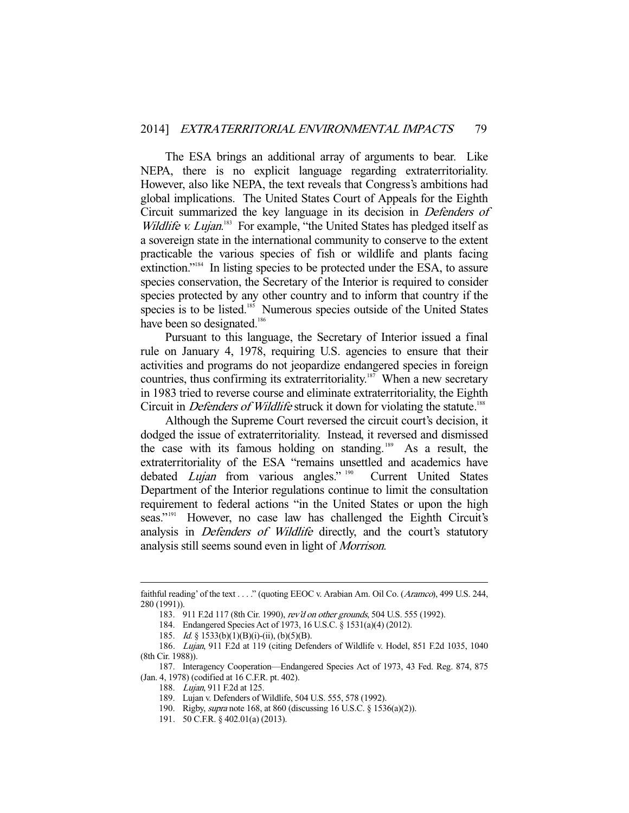The ESA brings an additional array of arguments to bear. Like NEPA, there is no explicit language regarding extraterritoriality. However, also like NEPA, the text reveals that Congress's ambitions had global implications. The United States Court of Appeals for the Eighth Circuit summarized the key language in its decision in Defenders of Wildlife v. Lujan.<sup>183</sup> For example, "the United States has pledged itself as a sovereign state in the international community to conserve to the extent practicable the various species of fish or wildlife and plants facing extinction."184 In listing species to be protected under the ESA, to assure species conservation, the Secretary of the Interior is required to consider species protected by any other country and to inform that country if the species is to be listed.<sup>185</sup> Numerous species outside of the United States have been so designated.<sup>186</sup>

 Pursuant to this language, the Secretary of Interior issued a final rule on January 4, 1978, requiring U.S. agencies to ensure that their activities and programs do not jeopardize endangered species in foreign countries, thus confirming its extraterritoriality.<sup>187</sup> When a new secretary in 1983 tried to reverse course and eliminate extraterritoriality, the Eighth Circuit in *Defenders of Wildlife* struck it down for violating the statute.<sup>188</sup>

 Although the Supreme Court reversed the circuit court's decision, it dodged the issue of extraterritoriality. Instead, it reversed and dismissed the case with its famous holding on standing. 189 As a result, the extraterritoriality of the ESA "remains unsettled and academics have debated Lujan from various angles." <sup>190</sup> Current United States Department of the Interior regulations continue to limit the consultation requirement to federal actions "in the United States or upon the high seas."<sup>191</sup> However, no case law has challenged the Eighth Circuit's analysis in *Defenders of Wildlife* directly, and the court's statutory analysis still seems sound even in light of Morrison.

faithful reading' of the text . . . ." (quoting EEOC v. Arabian Am. Oil Co. (Aramco), 499 U.S. 244, 280 (1991)).

 <sup>183. 911</sup> F.2d 117 (8th Cir. 1990), rev'd on other grounds, 504 U.S. 555 (1992).

 <sup>184.</sup> Endangered Species Act of 1973, 16 U.S.C. § 1531(a)(4) (2012).

<sup>185.</sup> *Id.* § 1533(b)(1)(B)(i)-(ii), (b)(5)(B).

 <sup>186.</sup> Lujan, 911 F.2d at 119 (citing Defenders of Wildlife v. Hodel, 851 F.2d 1035, 1040 (8th Cir. 1988)).

 <sup>187.</sup> Interagency Cooperation—Endangered Species Act of 1973, 43 Fed. Reg. 874, 875 (Jan. 4, 1978) (codified at 16 C.F.R. pt. 402).

<sup>188.</sup> Lujan, 911 F.2d at 125.

 <sup>189.</sup> Lujan v. Defenders of Wildlife, 504 U.S. 555, 578 (1992).

 <sup>190.</sup> Rigby, supra note 168, at 860 (discussing 16 U.S.C. § 1536(a)(2)).

 <sup>191. 50</sup> C.F.R. § 402.01(a) (2013).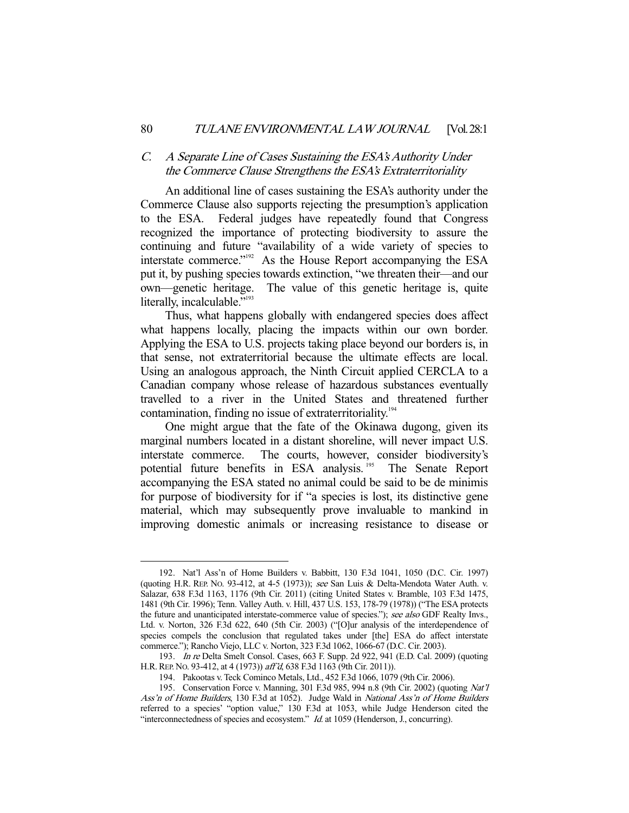#### C. A Separate Line of Cases Sustaining the ESA's Authority Under the Commerce Clause Strengthens the ESA's Extraterritoriality

 An additional line of cases sustaining the ESA's authority under the Commerce Clause also supports rejecting the presumption's application to the ESA. Federal judges have repeatedly found that Congress recognized the importance of protecting biodiversity to assure the continuing and future "availability of a wide variety of species to interstate commerce."192 As the House Report accompanying the ESA put it, by pushing species towards extinction, "we threaten their—and our own—genetic heritage. The value of this genetic heritage is, quite literally, incalculable."<sup>193</sup>

 Thus, what happens globally with endangered species does affect what happens locally, placing the impacts within our own border. Applying the ESA to U.S. projects taking place beyond our borders is, in that sense, not extraterritorial because the ultimate effects are local. Using an analogous approach, the Ninth Circuit applied CERCLA to a Canadian company whose release of hazardous substances eventually travelled to a river in the United States and threatened further contamination, finding no issue of extraterritoriality.<sup>194</sup>

 One might argue that the fate of the Okinawa dugong, given its marginal numbers located in a distant shoreline, will never impact U.S. interstate commerce. The courts, however, consider biodiversity's potential future benefits in ESA analysis.<sup>195</sup> The Senate Report accompanying the ESA stated no animal could be said to be de minimis for purpose of biodiversity for if "a species is lost, its distinctive gene material, which may subsequently prove invaluable to mankind in improving domestic animals or increasing resistance to disease or

 <sup>192.</sup> Nat'l Ass'n of Home Builders v. Babbitt, 130 F.3d 1041, 1050 (D.C. Cir. 1997) (quoting H.R. REP. No. 93-412, at 4-5 (1973)); see San Luis & Delta-Mendota Water Auth. v. Salazar, 638 F.3d 1163, 1176 (9th Cir. 2011) (citing United States v. Bramble, 103 F.3d 1475, 1481 (9th Cir. 1996); Tenn. Valley Auth. v. Hill, 437 U.S. 153, 178-79 (1978)) ("The ESA protects the future and unanticipated interstate-commerce value of species."); see also GDF Realty Invs., Ltd. v. Norton, 326 F.3d 622, 640 (5th Cir. 2003) ("[O]ur analysis of the interdependence of species compels the conclusion that regulated takes under [the] ESA do affect interstate commerce."); Rancho Viejo, LLC v. Norton, 323 F.3d 1062, 1066-67 (D.C. Cir. 2003).

 <sup>193.</sup> In re Delta Smelt Consol. Cases, 663 F. Supp. 2d 922, 941 (E.D. Cal. 2009) (quoting H.R.REP. NO. 93-412, at 4 (1973)) aff'd, 638 F.3d 1163 (9th Cir. 2011)).

 <sup>194.</sup> Pakootas v. Teck Cominco Metals, Ltd., 452 F.3d 1066, 1079 (9th Cir. 2006).

 <sup>195.</sup> Conservation Force v. Manning, 301 F.3d 985, 994 n.8 (9th Cir. 2002) (quoting Nat'l Ass'n of Home Builders, 130 F.3d at 1052). Judge Wald in National Ass'n of Home Builders referred to a species' "option value," 130 F.3d at 1053, while Judge Henderson cited the "interconnectedness of species and ecosystem." Id. at 1059 (Henderson, J., concurring).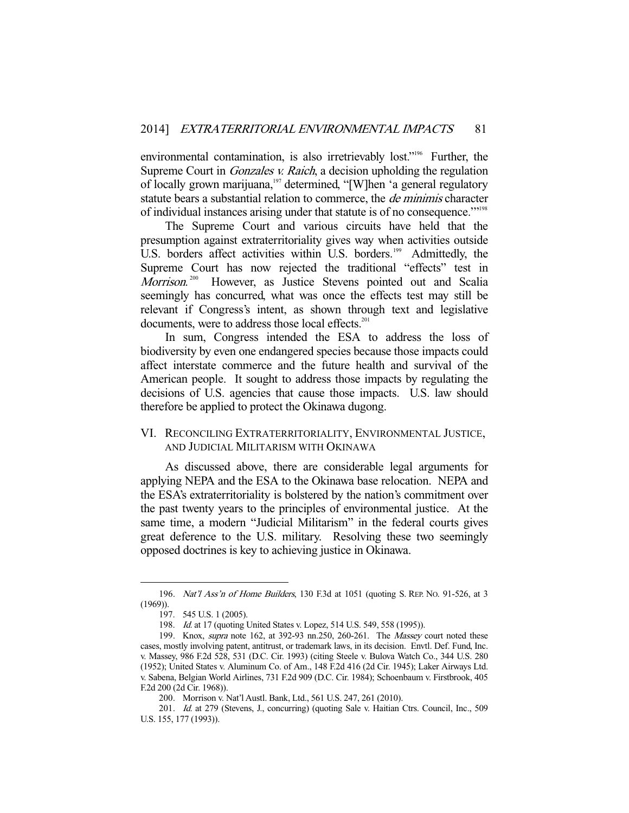environmental contamination, is also irretrievably lost."<sup>196</sup> Further, the Supreme Court in *Gonzales v. Raich*, a decision upholding the regulation of locally grown marijuana,<sup>197</sup> determined, "[W]hen 'a general regulatory statute bears a substantial relation to commerce, the *de minimis* character of individual instances arising under that statute is of no consequence.'"198

 The Supreme Court and various circuits have held that the presumption against extraterritoriality gives way when activities outside U.S. borders affect activities within U.S. borders.<sup>199</sup> Admittedly, the Supreme Court has now rejected the traditional "effects" test in Morrison. However, as Justice Stevens pointed out and Scalia seemingly has concurred, what was once the effects test may still be relevant if Congress's intent, as shown through text and legislative documents, were to address those local effects.<sup>201</sup>

 In sum, Congress intended the ESA to address the loss of biodiversity by even one endangered species because those impacts could affect interstate commerce and the future health and survival of the American people. It sought to address those impacts by regulating the decisions of U.S. agencies that cause those impacts. U.S. law should therefore be applied to protect the Okinawa dugong.

## VI. RECONCILING EXTRATERRITORIALITY, ENVIRONMENTAL JUSTICE, AND JUDICIAL MILITARISM WITH OKINAWA

 As discussed above, there are considerable legal arguments for applying NEPA and the ESA to the Okinawa base relocation. NEPA and the ESA's extraterritoriality is bolstered by the nation's commitment over the past twenty years to the principles of environmental justice. At the same time, a modern "Judicial Militarism" in the federal courts gives great deference to the U.S. military. Resolving these two seemingly opposed doctrines is key to achieving justice in Okinawa.

 <sup>196.</sup> Nat'l Ass'n of Home Builders, 130 F.3d at 1051 (quoting S. REP. NO. 91-526, at 3 (1969)).

 <sup>197. 545</sup> U.S. 1 (2005).

<sup>198.</sup> Id. at 17 (quoting United States v. Lopez, 514 U.S. 549, 558 (1995)).

 <sup>199.</sup> Knox, supra note 162, at 392-93 nn.250, 260-261. The Massey court noted these cases, mostly involving patent, antitrust, or trademark laws, in its decision. Envtl. Def. Fund, Inc. v. Massey, 986 F.2d 528, 531 (D.C. Cir. 1993) (citing Steele v. Bulova Watch Co., 344 U.S. 280 (1952); United States v. Aluminum Co. of Am., 148 F.2d 416 (2d Cir. 1945); Laker Airways Ltd. v. Sabena, Belgian World Airlines, 731 F.2d 909 (D.C. Cir. 1984); Schoenbaum v. Firstbrook, 405 F.2d 200 (2d Cir. 1968)).

 <sup>200.</sup> Morrison v. Nat'l Austl. Bank, Ltd., 561 U.S. 247, 261 (2010).

 <sup>201.</sup> Id. at 279 (Stevens, J., concurring) (quoting Sale v. Haitian Ctrs. Council, Inc., 509 U.S. 155, 177 (1993)).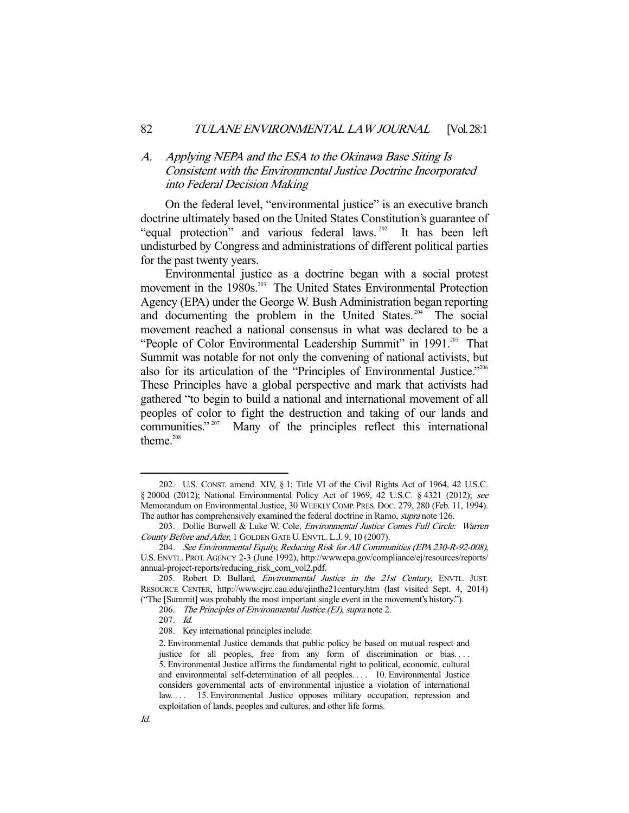# A. Applying NEPA and the ESA to the Okinawa Base Siting Is Consistent with the Environmental Justice Doctrine Incorporated into Federal Decision Making

 On the federal level, "environmental justice" is an executive branch doctrine ultimately based on the United States Constitution's guarantee of "equal protection" and various federal laws.<sup>202</sup> It has been left undisturbed by Congress and administrations of different political parties for the past twenty years.

 Environmental justice as a doctrine began with a social protest movement in the 1980s.<sup>203</sup> The United States Environmental Protection Agency (EPA) under the George W. Bush Administration began reporting and documenting the problem in the United States.<sup>204</sup> The social movement reached a national consensus in what was declared to be a "People of Color Environmental Leadership Summit" in 1991.<sup>205</sup> That Summit was notable for not only the convening of national activists, but also for its articulation of the "Principles of Environmental Justice."<sup>206</sup> These Principles have a global perspective and mark that activists had gathered "to begin to build a national and international movement of all peoples of color to fight the destruction and taking of our lands and communities."<sup>207</sup> Many of the principles reflect this international theme.<sup>208</sup>

 <sup>202.</sup> U.S. CONST. amend. XIV, § 1; Title VI of the Civil Rights Act of 1964, 42 U.S.C. § 2000d (2012); National Environmental Policy Act of 1969, 42 U.S.C. § 4321 (2012); see Memorandum on Environmental Justice, 30 WEEKLY COMP. PRES. DOC. 279, 280 (Feb. 11, 1994). The author has comprehensively examined the federal doctrine in Ramo, supra note 126.

<sup>203.</sup> Dollie Burwell & Luke W. Cole, Environmental Justice Comes Full Circle: Warren County Before and After, 1 GOLDEN GATE U. ENVTL. L.J. 9, 10 (2007).

 <sup>204.</sup> See Environmental Equity, Reducing Risk for All Communities (EPA 230-R-92-008), U.S. ENVTL. PROT. AGENCY 2-3 (June 1992), http://www.epa.gov/compliance/ej/resources/reports/ annual-project-reports/reducing\_risk\_com\_vol2.pdf.

<sup>205.</sup> Robert D. Bullard, *Environmental Justice in the 21st Century*, ENVTL. JUST. RESOURCE CENTER, http://www.ejrc.cau.edu/ejinthe21century.htm (last visited Sept. 4, 2014) ("The [Summit] was probably the most important single event in the movement's history.").

 <sup>206.</sup> The Principles of Environmental Justice (EJ), supra note 2.

 <sup>207.</sup> Id.

 <sup>208.</sup> Key international principles include:

<sup>2.</sup> Environmental Justice demands that public policy be based on mutual respect and justice for all peoples, free from any form of discrimination or bias.... 5. Environmental Justice affirms the fundamental right to political, economic, cultural and environmental self-determination of all peoples. . . . 10. Environmental Justice considers governmental acts of environmental injustice a violation of international law. . . . 15. Environmental Justice opposes military occupation, repression and exploitation of lands, peoples and cultures, and other life forms.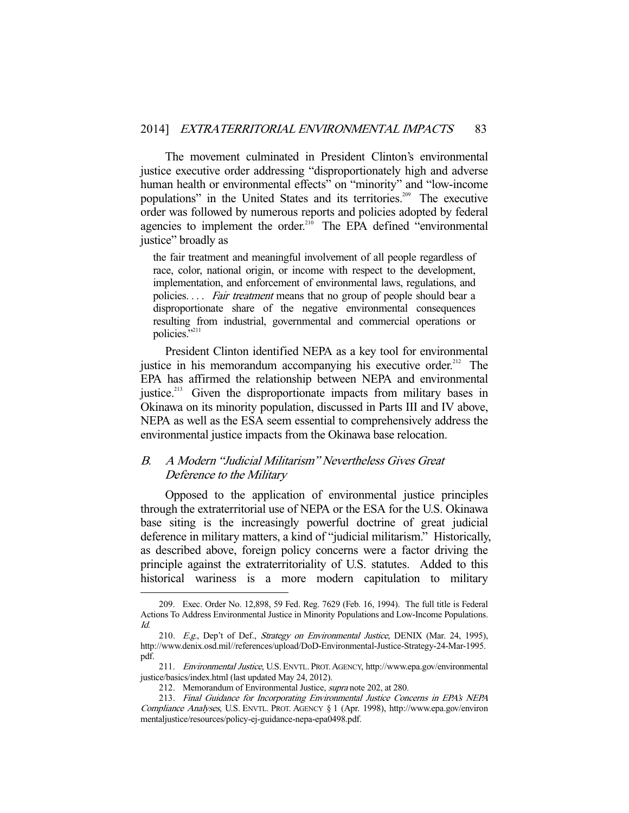The movement culminated in President Clinton's environmental justice executive order addressing "disproportionately high and adverse human health or environmental effects" on "minority" and "low-income populations" in the United States and its territories.<sup>209</sup> The executive order was followed by numerous reports and policies adopted by federal agencies to implement the order.<sup>210</sup> The EPA defined "environmental justice" broadly as

the fair treatment and meaningful involvement of all people regardless of race, color, national origin, or income with respect to the development, implementation, and enforcement of environmental laws, regulations, and policies. . . . Fair treatment means that no group of people should bear a disproportionate share of the negative environmental consequences resulting from industrial, governmental and commercial operations or policies."<sup>211</sup>

 President Clinton identified NEPA as a key tool for environmental justice in his memorandum accompanying his executive order.<sup>212</sup> The EPA has affirmed the relationship between NEPA and environmental justice.<sup>213</sup> Given the disproportionate impacts from military bases in Okinawa on its minority population, discussed in Parts III and IV above, NEPA as well as the ESA seem essential to comprehensively address the environmental justice impacts from the Okinawa base relocation.

## B. A Modern "Judicial Militarism" Nevertheless Gives Great Deference to the Military

 Opposed to the application of environmental justice principles through the extraterritorial use of NEPA or the ESA for the U.S. Okinawa base siting is the increasingly powerful doctrine of great judicial deference in military matters, a kind of "judicial militarism." Historically, as described above, foreign policy concerns were a factor driving the principle against the extraterritoriality of U.S. statutes. Added to this historical wariness is a more modern capitulation to military

 <sup>209.</sup> Exec. Order No. 12,898, 59 Fed. Reg. 7629 (Feb. 16, 1994). The full title is Federal Actions To Address Environmental Justice in Minority Populations and Low-Income Populations. Id.

<sup>210.</sup> E.g., Dep't of Def., Strategy on Environmental Justice, DENIX (Mar. 24, 1995), http://www.denix.osd.mil//references/upload/DoD-Environmental-Justice-Strategy-24-Mar-1995. pdf.

<sup>211.</sup> Environmental Justice, U.S. ENVTL. PROT. AGENCY, http://www.epa.gov/environmental justice/basics/index.html (last updated May 24, 2012).

<sup>212.</sup> Memorandum of Environmental Justice, *supra* note 202, at 280.

 <sup>213.</sup> Final Guidance for Incorporating Environmental Justice Concerns in EPA's NEPA Compliance Analyses, U.S. ENVTL. PROT. AGENCY § 1 (Apr. 1998), http://www.epa.gov/environ mentaljustice/resources/policy-ej-guidance-nepa-epa0498.pdf.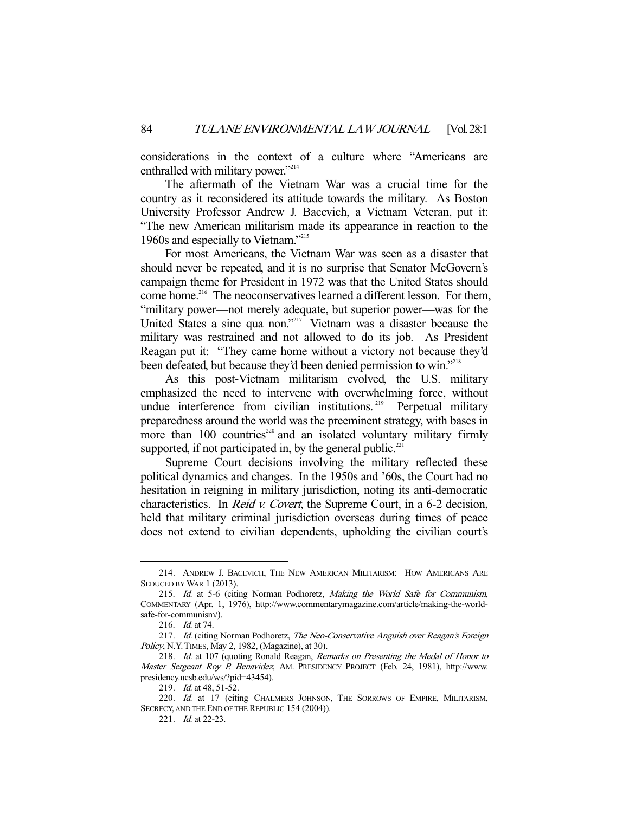considerations in the context of a culture where "Americans are enthralled with military power."<sup>214</sup>

 The aftermath of the Vietnam War was a crucial time for the country as it reconsidered its attitude towards the military. As Boston University Professor Andrew J. Bacevich, a Vietnam Veteran, put it: "The new American militarism made its appearance in reaction to the 1960s and especially to Vietnam."215

 For most Americans, the Vietnam War was seen as a disaster that should never be repeated, and it is no surprise that Senator McGovern's campaign theme for President in 1972 was that the United States should come home.<sup>216</sup> The neoconservatives learned a different lesson. For them, "military power—not merely adequate, but superior power—was for the United States a sine qua non."217 Vietnam was a disaster because the military was restrained and not allowed to do its job. As President Reagan put it: "They came home without a victory not because they'd been defeated, but because they'd been denied permission to win."<sup>218</sup>

 As this post-Vietnam militarism evolved, the U.S. military emphasized the need to intervene with overwhelming force, without undue interference from civilian institutions.<sup>219</sup> Perpetual military preparedness around the world was the preeminent strategy, with bases in more than  $100$  countries<sup>220</sup> and an isolated voluntary military firmly supported, if not participated in, by the general public. $221$ 

 Supreme Court decisions involving the military reflected these political dynamics and changes. In the 1950s and '60s, the Court had no hesitation in reigning in military jurisdiction, noting its anti-democratic characteristics. In Reid v. Covert, the Supreme Court, in a 6-2 decision, held that military criminal jurisdiction overseas during times of peace does not extend to civilian dependents, upholding the civilian court's

 <sup>214.</sup> ANDREW J. BACEVICH, THE NEW AMERICAN MILITARISM: HOW AMERICANS ARE SEDUCED BY WAR 1 (2013).

<sup>215.</sup> Id. at 5-6 (citing Norman Podhoretz, Making the World Safe for Communism, COMMENTARY (Apr. 1, 1976), http://www.commentarymagazine.com/article/making-the-worldsafe-for-communism/).

 <sup>216.</sup> Id. at 74.

<sup>217.</sup> Id. (citing Norman Podhoretz, The Neo-Conservative Anguish over Reagan's Foreign Policy, N.Y.TIMES, May 2, 1982, (Magazine), at 30).

 <sup>218.</sup> Id. at 107 (quoting Ronald Reagan, Remarks on Presenting the Medal of Honor to Master Sergeant Roy P. Benavidez, AM. PRESIDENCY PROJECT (Feb. 24, 1981), http://www. presidency.ucsb.edu/ws/?pid=43454).

<sup>219.</sup> *Id.* at 48, 51-52.

<sup>220.</sup> Id. at 17 (citing CHALMERS JOHNSON, THE SORROWS OF EMPIRE, MILITARISM, SECRECY, AND THE END OF THE REPUBLIC 154 (2004)).

<sup>221.</sup> *Id.* at 22-23.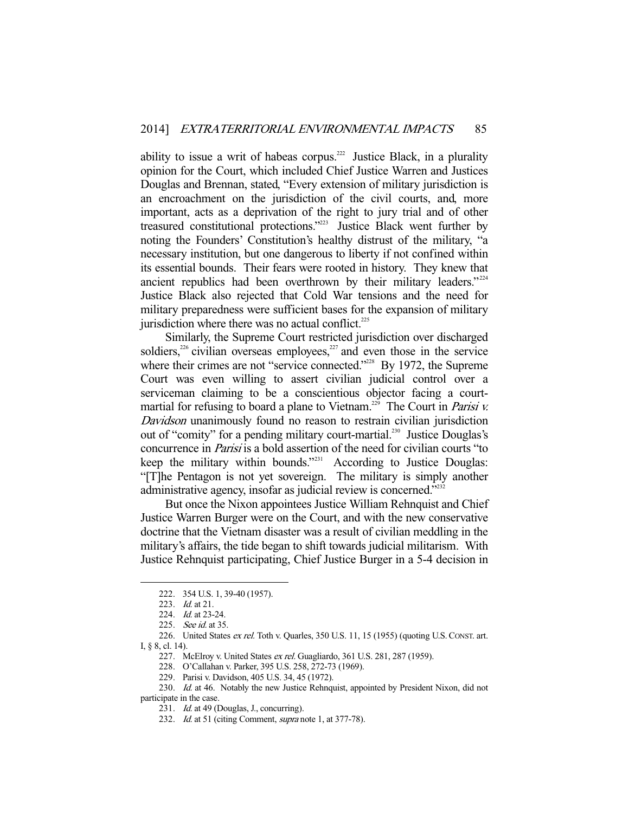ability to issue a writ of habeas corpus.<sup>222</sup> Justice Black, in a plurality opinion for the Court, which included Chief Justice Warren and Justices Douglas and Brennan, stated, "Every extension of military jurisdiction is an encroachment on the jurisdiction of the civil courts, and, more important, acts as a deprivation of the right to jury trial and of other treasured constitutional protections."223 Justice Black went further by noting the Founders' Constitution's healthy distrust of the military, "a necessary institution, but one dangerous to liberty if not confined within its essential bounds. Their fears were rooted in history. They knew that ancient republics had been overthrown by their military leaders."<sup>224</sup> Justice Black also rejected that Cold War tensions and the need for military preparedness were sufficient bases for the expansion of military jurisdiction where there was no actual conflict. $225$ 

 Similarly, the Supreme Court restricted jurisdiction over discharged soldiers,<sup>226</sup> civilian overseas employees,<sup>227</sup> and even those in the service where their crimes are not "service connected."<sup>228</sup> By 1972, the Supreme Court was even willing to assert civilian judicial control over a serviceman claiming to be a conscientious objector facing a courtmartial for refusing to board a plane to Vietnam.<sup>229</sup> The Court in *Parisi v.* Davidson unanimously found no reason to restrain civilian jurisdiction out of "comity" for a pending military court-martial.<sup>230</sup> Justice Douglas's concurrence in Parisi is a bold assertion of the need for civilian courts "to keep the military within bounds."<sup>231</sup> According to Justice Douglas: "[T]he Pentagon is not yet sovereign. The military is simply another administrative agency, insofar as judicial review is concerned."<sup>2322</sup>

 But once the Nixon appointees Justice William Rehnquist and Chief Justice Warren Burger were on the Court, and with the new conservative doctrine that the Vietnam disaster was a result of civilian meddling in the military's affairs, the tide began to shift towards judicial militarism. With Justice Rehnquist participating, Chief Justice Burger in a 5-4 decision in

 <sup>222. 354</sup> U.S. 1, 39-40 (1957).

<sup>223.</sup> *Id.* at 21.

<sup>224.</sup> *Id.* at 23-24.

<sup>225.</sup> See id. at 35.

 <sup>226.</sup> United States ex rel. Toth v. Quarles, 350 U.S. 11, 15 (1955) (quoting U.S.CONST. art. I, § 8, cl. 14).

<sup>227.</sup> McElroy v. United States ex rel. Guagliardo, 361 U.S. 281, 287 (1959).

 <sup>228.</sup> O'Callahan v. Parker, 395 U.S. 258, 272-73 (1969).

 <sup>229.</sup> Parisi v. Davidson, 405 U.S. 34, 45 (1972).

<sup>230.</sup> Id. at 46. Notably the new Justice Rehnquist, appointed by President Nixon, did not participate in the case.

<sup>231.</sup> *Id.* at 49 (Douglas, J., concurring).

<sup>232.</sup> Id. at 51 (citing Comment, supra note 1, at 377-78).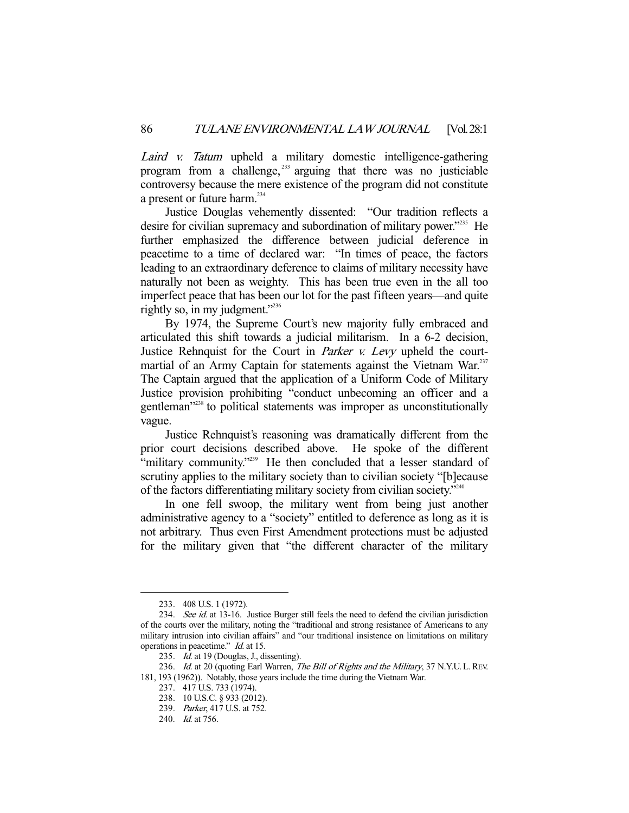Laird v. Tatum upheld a military domestic intelligence-gathering program from a challenge, 233 arguing that there was no justiciable controversy because the mere existence of the program did not constitute a present or future harm.<sup>234</sup>

 Justice Douglas vehemently dissented: "Our tradition reflects a desire for civilian supremacy and subordination of military power."235 He further emphasized the difference between judicial deference in peacetime to a time of declared war: "In times of peace, the factors leading to an extraordinary deference to claims of military necessity have naturally not been as weighty. This has been true even in the all too imperfect peace that has been our lot for the past fifteen years—and quite rightly so, in my judgment."<sup>236</sup>

 By 1974, the Supreme Court's new majority fully embraced and articulated this shift towards a judicial militarism. In a 6-2 decision, Justice Rehnquist for the Court in *Parker v. Levy* upheld the courtmartial of an Army Captain for statements against the Vietnam War.<sup>237</sup> The Captain argued that the application of a Uniform Code of Military Justice provision prohibiting "conduct unbecoming an officer and a gentleman<sup>"238</sup> to political statements was improper as unconstitutionally vague.

 Justice Rehnquist's reasoning was dramatically different from the prior court decisions described above. He spoke of the different "military community."<sup>239</sup> He then concluded that a lesser standard of scrutiny applies to the military society than to civilian society "[b]ecause of the factors differentiating military society from civilian society."240

 In one fell swoop, the military went from being just another administrative agency to a "society" entitled to deference as long as it is not arbitrary. Thus even First Amendment protections must be adjusted for the military given that "the different character of the military

 <sup>233. 408</sup> U.S. 1 (1972).

<sup>234.</sup> See id. at 13-16. Justice Burger still feels the need to defend the civilian jurisdiction of the courts over the military, noting the "traditional and strong resistance of Americans to any military intrusion into civilian affairs" and "our traditional insistence on limitations on military operations in peacetime." Id. at 15.

<sup>235.</sup> *Id.* at 19 (Douglas, J., dissenting).

<sup>236.</sup> Id. at 20 (quoting Earl Warren, The Bill of Rights and the Military, 37 N.Y.U. L. REV. 181, 193 (1962)). Notably, those years include the time during the Vietnam War.

 <sup>237. 417</sup> U.S. 733 (1974).

 <sup>238. 10</sup> U.S.C. § 933 (2012).

 <sup>239.</sup> Parker, 417 U.S. at 752.

 <sup>240.</sup> Id. at 756.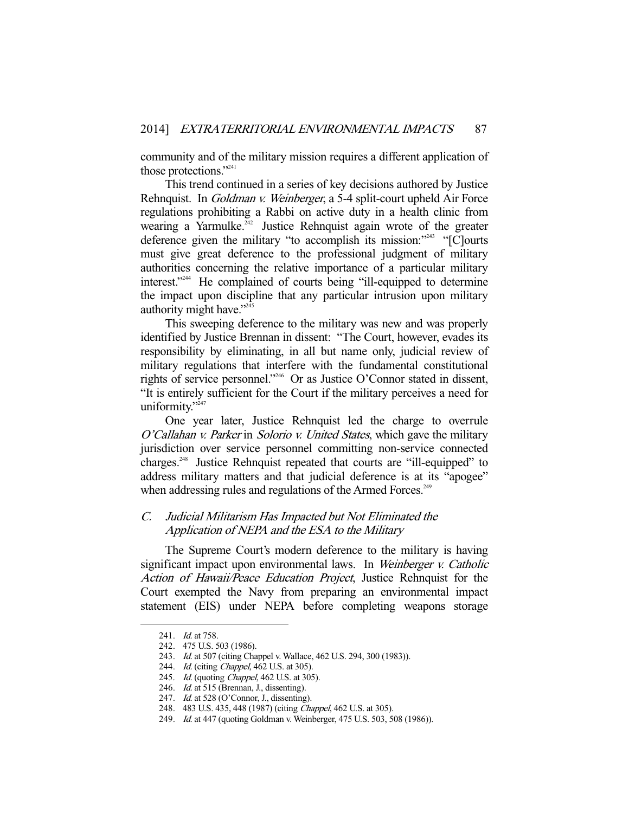community and of the military mission requires a different application of those protections."<sup>241</sup>

 This trend continued in a series of key decisions authored by Justice Rehnquist. In Goldman v. Weinberger, a 5-4 split-court upheld Air Force regulations prohibiting a Rabbi on active duty in a health clinic from wearing a Yarmulke.<sup>242</sup> Justice Rehnquist again wrote of the greater deference given the military "to accomplish its mission:"<sup>243</sup> "[C]ourts must give great deference to the professional judgment of military authorities concerning the relative importance of a particular military interest."244 He complained of courts being "ill-equipped to determine the impact upon discipline that any particular intrusion upon military authority might have."245

 This sweeping deference to the military was new and was properly identified by Justice Brennan in dissent: "The Court, however, evades its responsibility by eliminating, in all but name only, judicial review of military regulations that interfere with the fundamental constitutional rights of service personnel."246 Or as Justice O'Connor stated in dissent, "It is entirely sufficient for the Court if the military perceives a need for uniformity."<sup>247</sup>

 One year later, Justice Rehnquist led the charge to overrule O'Callahan v. Parker in Solorio v. United States, which gave the military jurisdiction over service personnel committing non-service connected charges.<sup>248</sup> Justice Rehnquist repeated that courts are "ill-equipped" to address military matters and that judicial deference is at its "apogee" when addressing rules and regulations of the Armed Forces.<sup>249</sup>

# C. Judicial Militarism Has Impacted but Not Eliminated the Application of NEPA and the ESA to the Military

 The Supreme Court's modern deference to the military is having significant impact upon environmental laws. In Weinberger v. Catholic Action of Hawaii/Peace Education Project, Justice Rehnquist for the Court exempted the Navy from preparing an environmental impact statement (EIS) under NEPA before completing weapons storage

<sup>241.</sup> *Id.* at 758.

 <sup>242. 475</sup> U.S. 503 (1986).

<sup>243.</sup> Id. at 507 (citing Chappel v. Wallace, 462 U.S. 294, 300 (1983)).

<sup>244.</sup> *Id.* (citing *Chappel*, 462 U.S. at 305).

<sup>245.</sup> Id. (quoting Chappel, 462 U.S. at 305).

<sup>246.</sup> Id. at 515 (Brennan, J., dissenting).

<sup>247.</sup> *Id.* at 528 (O'Connor, J., dissenting).

 <sup>248. 483</sup> U.S. 435, 448 (1987) (citing Chappel, 462 U.S. at 305).

<sup>249.</sup> *Id.* at 447 (quoting Goldman v. Weinberger, 475 U.S. 503, 508 (1986)).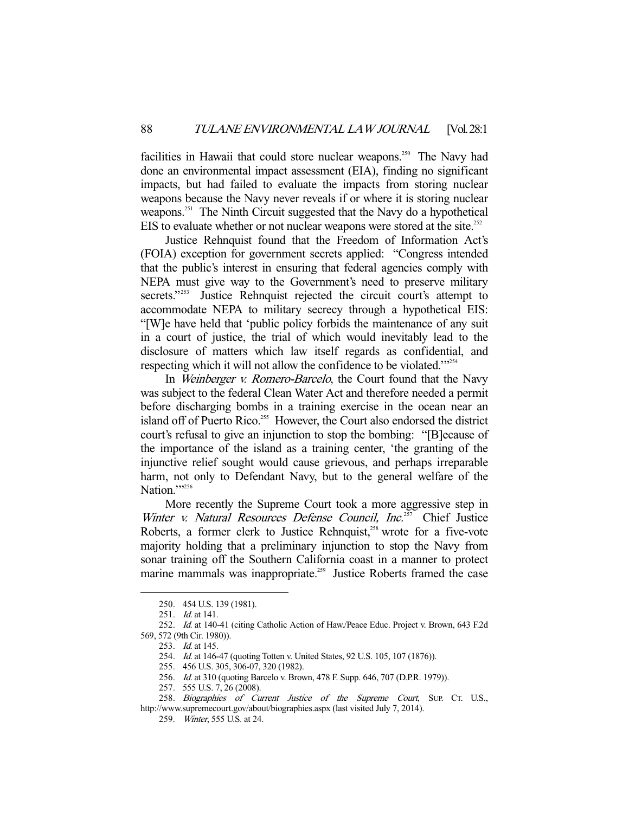facilities in Hawaii that could store nuclear weapons.<sup>250</sup> The Navy had done an environmental impact assessment (EIA), finding no significant impacts, but had failed to evaluate the impacts from storing nuclear weapons because the Navy never reveals if or where it is storing nuclear weapons.<sup>251</sup> The Ninth Circuit suggested that the Navy do a hypothetical EIS to evaluate whether or not nuclear weapons were stored at the site.<sup>252</sup>

 Justice Rehnquist found that the Freedom of Information Act's (FOIA) exception for government secrets applied: "Congress intended that the public's interest in ensuring that federal agencies comply with NEPA must give way to the Government's need to preserve military secrets."<sup>253</sup> Justice Rehnquist rejected the circuit court's attempt to accommodate NEPA to military secrecy through a hypothetical EIS: "[W]e have held that 'public policy forbids the maintenance of any suit in a court of justice, the trial of which would inevitably lead to the disclosure of matters which law itself regards as confidential, and respecting which it will not allow the confidence to be violated."<sup>254</sup>

In Weinberger v. Romero-Barcelo, the Court found that the Navy was subject to the federal Clean Water Act and therefore needed a permit before discharging bombs in a training exercise in the ocean near an island off of Puerto Rico.<sup>255</sup> However, the Court also endorsed the district court's refusal to give an injunction to stop the bombing: "[B]ecause of the importance of the island as a training center, 'the granting of the injunctive relief sought would cause grievous, and perhaps irreparable harm, not only to Defendant Navy, but to the general welfare of the Nation.">256

 More recently the Supreme Court took a more aggressive step in Winter v. Natural Resources Defense Council, Inc. $257$  Chief Justice Roberts, a former clerk to Justice Rehnquist,<sup>258</sup> wrote for a five-vote majority holding that a preliminary injunction to stop the Navy from sonar training off the Southern California coast in a manner to protect marine mammals was inappropriate.<sup>259</sup> Justice Roberts framed the case

 <sup>250. 454</sup> U.S. 139 (1981).

<sup>251.</sup> *Id.* at 141.

 <sup>252.</sup> Id. at 140-41 (citing Catholic Action of Haw./Peace Educ. Project v. Brown, 643 F.2d 569, 572 (9th Cir. 1980)).

<sup>253.</sup> *Id.* at 145.

 <sup>254.</sup> Id. at 146-47 (quoting Totten v. United States, 92 U.S. 105, 107 (1876)).

 <sup>255. 456</sup> U.S. 305, 306-07, 320 (1982).

<sup>256.</sup> Id. at 310 (quoting Barcelo v. Brown, 478 F. Supp. 646, 707 (D.P.R. 1979)).

 <sup>257. 555</sup> U.S. 7, 26 (2008).

<sup>258.</sup> Biographies of Current Justice of the Supreme Court, SUP. CT. U.S., http://www.supremecourt.gov/about/biographies.aspx (last visited July 7, 2014).

 <sup>259.</sup> Winter, 555 U.S. at 24.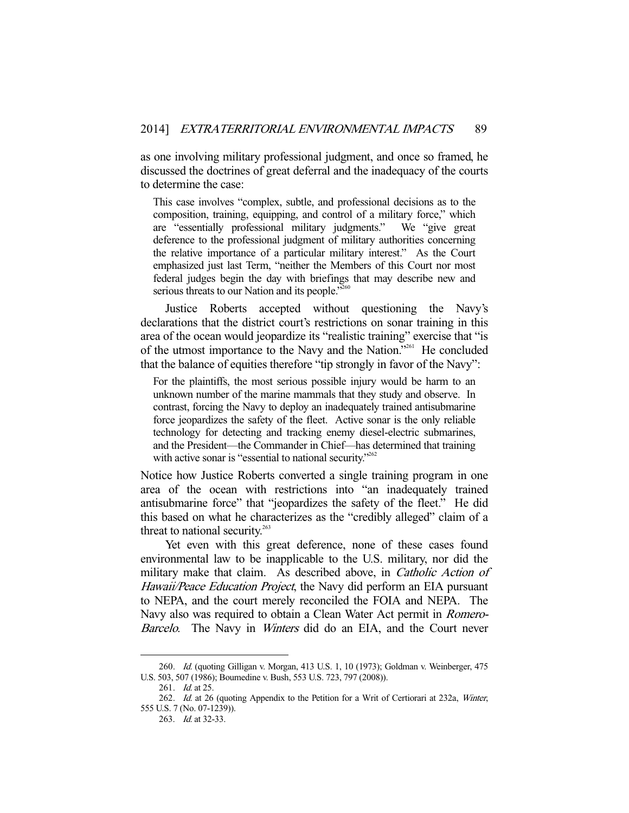as one involving military professional judgment, and once so framed, he discussed the doctrines of great deferral and the inadequacy of the courts to determine the case:

This case involves "complex, subtle, and professional decisions as to the composition, training, equipping, and control of a military force," which are "essentially professional military judgments." We "give great deference to the professional judgment of military authorities concerning the relative importance of a particular military interest." As the Court emphasized just last Term, "neither the Members of this Court nor most federal judges begin the day with briefings that may describe new and serious threats to our Nation and its people."<sup>260</sup>

 Justice Roberts accepted without questioning the Navy's declarations that the district court's restrictions on sonar training in this area of the ocean would jeopardize its "realistic training" exercise that "is of the utmost importance to the Navy and the Nation."261 He concluded that the balance of equities therefore "tip strongly in favor of the Navy":

For the plaintiffs, the most serious possible injury would be harm to an unknown number of the marine mammals that they study and observe. In contrast, forcing the Navy to deploy an inadequately trained antisubmarine force jeopardizes the safety of the fleet. Active sonar is the only reliable technology for detecting and tracking enemy diesel-electric submarines, and the President—the Commander in Chief—has determined that training with active sonar is "essential to national security."<sup>262</sup>

Notice how Justice Roberts converted a single training program in one area of the ocean with restrictions into "an inadequately trained antisubmarine force" that "jeopardizes the safety of the fleet." He did this based on what he characterizes as the "credibly alleged" claim of a threat to national security. $263$ 

 Yet even with this great deference, none of these cases found environmental law to be inapplicable to the U.S. military, nor did the military make that claim. As described above, in *Catholic Action of* Hawaii/Peace Education Project, the Navy did perform an EIA pursuant to NEPA, and the court merely reconciled the FOIA and NEPA. The Navy also was required to obtain a Clean Water Act permit in *Romero*-Barcelo. The Navy in *Winters* did do an EIA, and the Court never

<sup>260.</sup> *Id.* (quoting Gilligan v. Morgan, 413 U.S. 1, 10 (1973); Goldman v. Weinberger, 475 U.S. 503, 507 (1986); Boumedine v. Bush, 553 U.S. 723, 797 (2008)).

<sup>261.</sup> *Id.* at 25.

<sup>262.</sup> Id. at 26 (quoting Appendix to the Petition for a Writ of Certiorari at 232a, Winter, 555 U.S. 7 (No. 07-1239)).

 <sup>263.</sup> Id. at 32-33.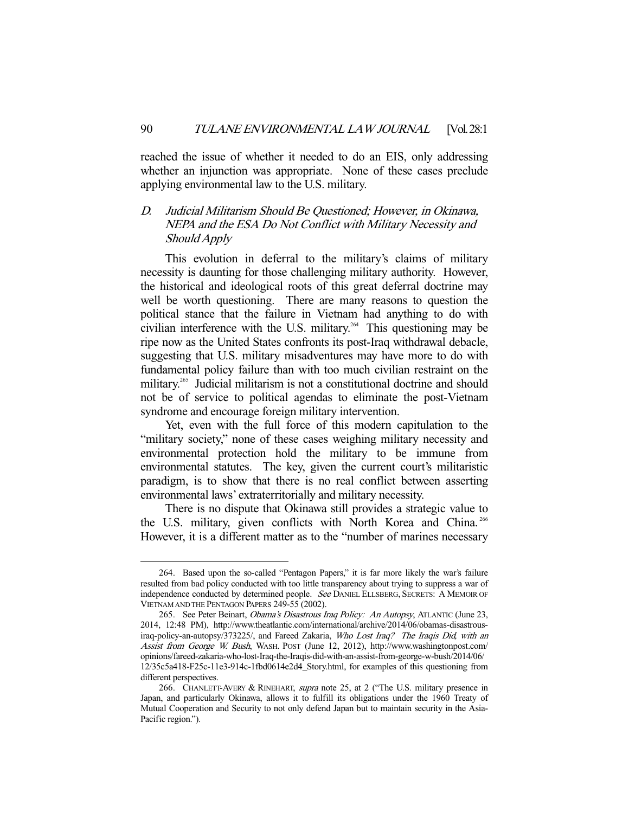reached the issue of whether it needed to do an EIS, only addressing whether an injunction was appropriate. None of these cases preclude applying environmental law to the U.S. military.

# D. Judicial Militarism Should Be Questioned; However, in Okinawa, NEPA and the ESA Do Not Conflict with Military Necessity and Should Apply

 This evolution in deferral to the military's claims of military necessity is daunting for those challenging military authority. However, the historical and ideological roots of this great deferral doctrine may well be worth questioning. There are many reasons to question the political stance that the failure in Vietnam had anything to do with civilian interference with the U.S. military.<sup>264</sup> This questioning may be ripe now as the United States confronts its post-Iraq withdrawal debacle, suggesting that U.S. military misadventures may have more to do with fundamental policy failure than with too much civilian restraint on the military.<sup>265</sup> Judicial militarism is not a constitutional doctrine and should not be of service to political agendas to eliminate the post-Vietnam syndrome and encourage foreign military intervention.

 Yet, even with the full force of this modern capitulation to the "military society," none of these cases weighing military necessity and environmental protection hold the military to be immune from environmental statutes. The key, given the current court's militaristic paradigm, is to show that there is no real conflict between asserting environmental laws' extraterritorially and military necessity.

 There is no dispute that Okinawa still provides a strategic value to the U.S. military, given conflicts with North Korea and China.<sup>266</sup> However, it is a different matter as to the "number of marines necessary

 <sup>264.</sup> Based upon the so-called "Pentagon Papers," it is far more likely the war's failure resulted from bad policy conducted with too little transparency about trying to suppress a war of independence conducted by determined people. See DANIEL ELLSBERG, SECRETS: A MEMOIR OF VIETNAM AND THE PENTAGON PAPERS 249-55 (2002).

<sup>265.</sup> See Peter Beinart, Obama's Disastrous Iraq Policy: An Autopsy, ATLANTIC (June 23, 2014, 12:48 PM), http://www.theatlantic.com/international/archive/2014/06/obamas-disastrousiraq-policy-an-autopsy/373225/, and Fareed Zakaria, Who Lost Iraq? The Iraqis Did, with an Assist from George W. Bush, WASH. POST (June 12, 2012), http://www.washingtonpost.com/ opinions/fareed-zakaria-who-lost-Iraq-the-Iraqis-did-with-an-assist-from-george-w-bush/2014/06/ 12/35c5a418-F25c-11e3-914c-1fbd0614e2d4\_Story.html, for examples of this questioning from different perspectives.

<sup>266.</sup> CHANLETT-AVERY & RINEHART, supra note 25, at 2 ("The U.S. military presence in Japan, and particularly Okinawa, allows it to fulfill its obligations under the 1960 Treaty of Mutual Cooperation and Security to not only defend Japan but to maintain security in the Asia-Pacific region.").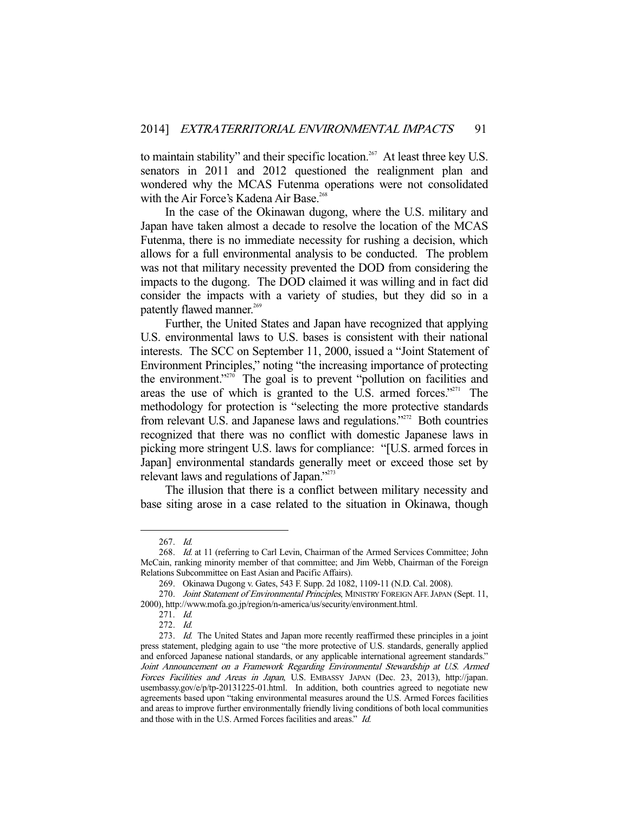to maintain stability" and their specific location.<sup>267</sup> At least three key U.S. senators in 2011 and 2012 questioned the realignment plan and wondered why the MCAS Futenma operations were not consolidated with the Air Force's Kadena Air Base.<sup>268</sup>

 In the case of the Okinawan dugong, where the U.S. military and Japan have taken almost a decade to resolve the location of the MCAS Futenma, there is no immediate necessity for rushing a decision, which allows for a full environmental analysis to be conducted. The problem was not that military necessity prevented the DOD from considering the impacts to the dugong. The DOD claimed it was willing and in fact did consider the impacts with a variety of studies, but they did so in a patently flawed manner.<sup>269</sup>

 Further, the United States and Japan have recognized that applying U.S. environmental laws to U.S. bases is consistent with their national interests. The SCC on September 11, 2000, issued a "Joint Statement of Environment Principles," noting "the increasing importance of protecting the environment."<sup> $270$ </sup> The goal is to prevent "pollution on facilities and areas the use of which is granted to the U.S. armed forces."<sup>271</sup> The methodology for protection is "selecting the more protective standards from relevant U.S. and Japanese laws and regulations."<sup>272</sup> Both countries recognized that there was no conflict with domestic Japanese laws in picking more stringent U.S. laws for compliance: "[U.S. armed forces in Japan] environmental standards generally meet or exceed those set by relevant laws and regulations of Japan."<sup>273</sup>

 The illusion that there is a conflict between military necessity and base siting arose in a case related to the situation in Okinawa, though

 <sup>267.</sup> Id.

<sup>268.</sup> Id. at 11 (referring to Carl Levin, Chairman of the Armed Services Committee; John McCain, ranking minority member of that committee; and Jim Webb, Chairman of the Foreign Relations Subcommittee on East Asian and Pacific Affairs).

 <sup>269.</sup> Okinawa Dugong v. Gates, 543 F. Supp. 2d 1082, 1109-11 (N.D. Cal. 2008).

<sup>270.</sup> Joint Statement of Environmental Principles, MINISTRY FOREIGN AFF. JAPAN (Sept. 11, 2000), http://www.mofa.go.jp/region/n-america/us/security/environment.html.

 <sup>271.</sup> Id.

 <sup>272.</sup> Id.

<sup>273.</sup> Id. The United States and Japan more recently reaffirmed these principles in a joint press statement, pledging again to use "the more protective of U.S. standards, generally applied and enforced Japanese national standards, or any applicable international agreement standards." Joint Announcement on a Framework Regarding Environmental Stewardship at U.S. Armed Forces Facilities and Areas in Japan, U.S. EMBASSY JAPAN (Dec. 23, 2013), http://japan. usembassy.gov/e/p/tp-20131225-01.html. In addition, both countries agreed to negotiate new agreements based upon "taking environmental measures around the U.S. Armed Forces facilities and areas to improve further environmentally friendly living conditions of both local communities and those with in the U.S. Armed Forces facilities and areas." Id.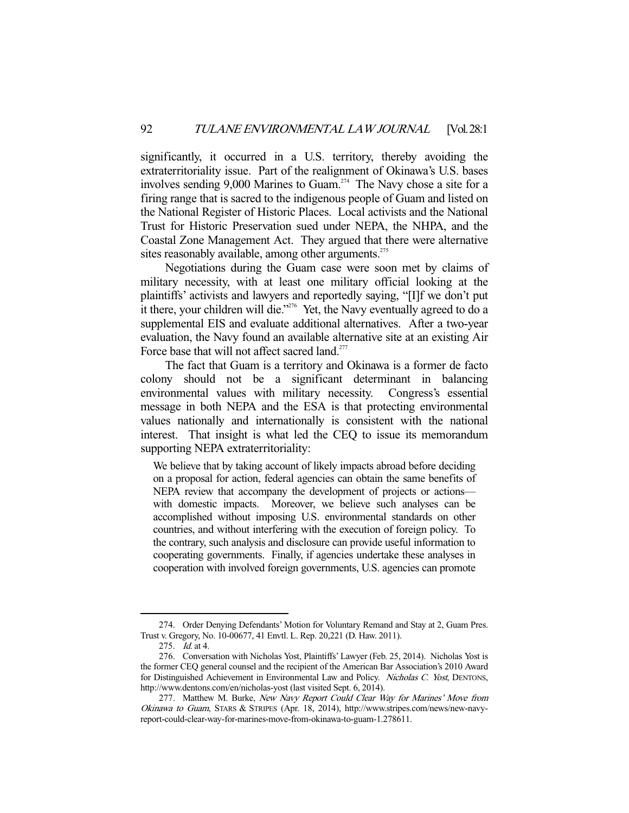significantly, it occurred in a U.S. territory, thereby avoiding the extraterritoriality issue. Part of the realignment of Okinawa's U.S. bases involves sending 9,000 Marines to Guam.<sup>274</sup> The Navy chose a site for a firing range that is sacred to the indigenous people of Guam and listed on the National Register of Historic Places. Local activists and the National Trust for Historic Preservation sued under NEPA, the NHPA, and the Coastal Zone Management Act. They argued that there were alternative sites reasonably available, among other arguments.<sup>275</sup>

 Negotiations during the Guam case were soon met by claims of military necessity, with at least one military official looking at the plaintiffs' activists and lawyers and reportedly saying, "[I]f we don't put it there, your children will die."276 Yet, the Navy eventually agreed to do a supplemental EIS and evaluate additional alternatives. After a two-year evaluation, the Navy found an available alternative site at an existing Air Force base that will not affect sacred land.<sup>277</sup>

 The fact that Guam is a territory and Okinawa is a former de facto colony should not be a significant determinant in balancing environmental values with military necessity. Congress's essential message in both NEPA and the ESA is that protecting environmental values nationally and internationally is consistent with the national interest. That insight is what led the CEQ to issue its memorandum supporting NEPA extraterritoriality:

We believe that by taking account of likely impacts abroad before deciding on a proposal for action, federal agencies can obtain the same benefits of NEPA review that accompany the development of projects or actions with domestic impacts. Moreover, we believe such analyses can be accomplished without imposing U.S. environmental standards on other countries, and without interfering with the execution of foreign policy. To the contrary, such analysis and disclosure can provide useful information to cooperating governments. Finally, if agencies undertake these analyses in cooperation with involved foreign governments, U.S. agencies can promote

 <sup>274.</sup> Order Denying Defendants' Motion for Voluntary Remand and Stay at 2, Guam Pres. Trust v. Gregory, No. 10-00677, 41 Envtl. L. Rep. 20,221 (D. Haw. 2011).

 <sup>275.</sup> Id. at 4.

 <sup>276.</sup> Conversation with Nicholas Yost, Plaintiffs' Lawyer (Feb. 25, 2014). Nicholas Yost is the former CEQ general counsel and the recipient of the American Bar Association's 2010 Award for Distinguished Achievement in Environmental Law and Policy. Nicholas C. Yost, DENTONS, http://www.dentons.com/en/nicholas-yost (last visited Sept. 6, 2014).

<sup>277.</sup> Matthew M. Burke, New Navy Report Could Clear Way for Marines' Move from Okinawa to Guam, STARS & STRIPES (Apr. 18, 2014), http://www.stripes.com/news/new-navyreport-could-clear-way-for-marines-move-from-okinawa-to-guam-1.278611.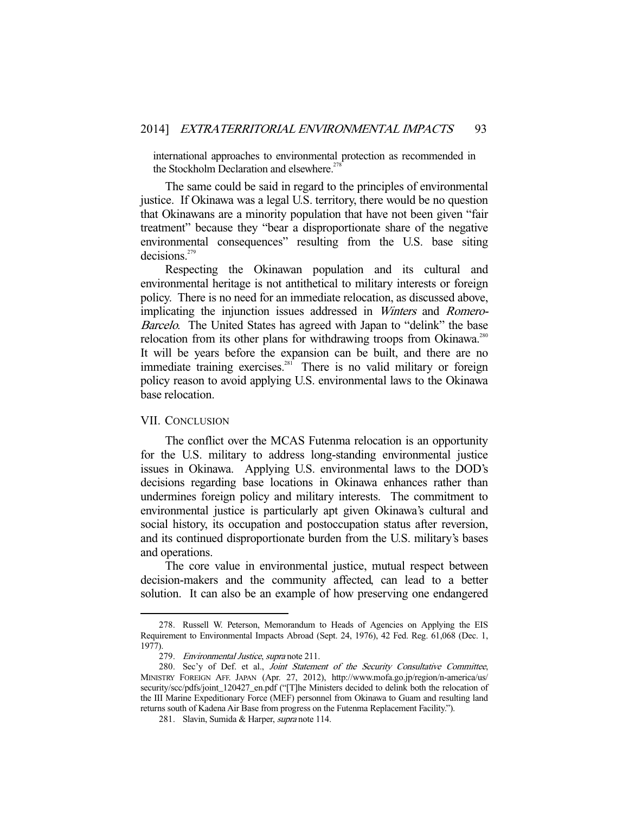international approaches to environmental protection as recommended in the Stockholm Declaration and elsewhere.<sup>27</sup>

 The same could be said in regard to the principles of environmental justice. If Okinawa was a legal U.S. territory, there would be no question that Okinawans are a minority population that have not been given "fair treatment" because they "bear a disproportionate share of the negative environmental consequences" resulting from the U.S. base siting decisions.<sup>279</sup>

 Respecting the Okinawan population and its cultural and environmental heritage is not antithetical to military interests or foreign policy. There is no need for an immediate relocation, as discussed above, implicating the injunction issues addressed in Winters and Romero-Barcelo. The United States has agreed with Japan to "delink" the base relocation from its other plans for withdrawing troops from Okinawa.<sup>280</sup> It will be years before the expansion can be built, and there are no immediate training exercises.<sup>281</sup> There is no valid military or foreign policy reason to avoid applying U.S. environmental laws to the Okinawa base relocation.

#### VII. CONCLUSION

-

 The conflict over the MCAS Futenma relocation is an opportunity for the U.S. military to address long-standing environmental justice issues in Okinawa. Applying U.S. environmental laws to the DOD's decisions regarding base locations in Okinawa enhances rather than undermines foreign policy and military interests. The commitment to environmental justice is particularly apt given Okinawa's cultural and social history, its occupation and postoccupation status after reversion, and its continued disproportionate burden from the U.S. military's bases and operations.

 The core value in environmental justice, mutual respect between decision-makers and the community affected, can lead to a better solution. It can also be an example of how preserving one endangered

 <sup>278.</sup> Russell W. Peterson, Memorandum to Heads of Agencies on Applying the EIS Requirement to Environmental Impacts Abroad (Sept. 24, 1976), 42 Fed. Reg. 61,068 (Dec. 1, 1977).

 <sup>279.</sup> Environmental Justice, supra note 211.

<sup>280.</sup> Sec'y of Def. et al., Joint Statement of the Security Consultative Committee, MINISTRY FOREIGN AFF. JAPAN (Apr. 27, 2012), http://www.mofa.go.jp/region/n-america/us/ security/scc/pdfs/joint\_120427\_en.pdf ("[T]he Ministers decided to delink both the relocation of the III Marine Expeditionary Force (MEF) personnel from Okinawa to Guam and resulting land returns south of Kadena Air Base from progress on the Futenma Replacement Facility.").

<sup>281.</sup> Slavin, Sumida & Harper, *supra* note 114.